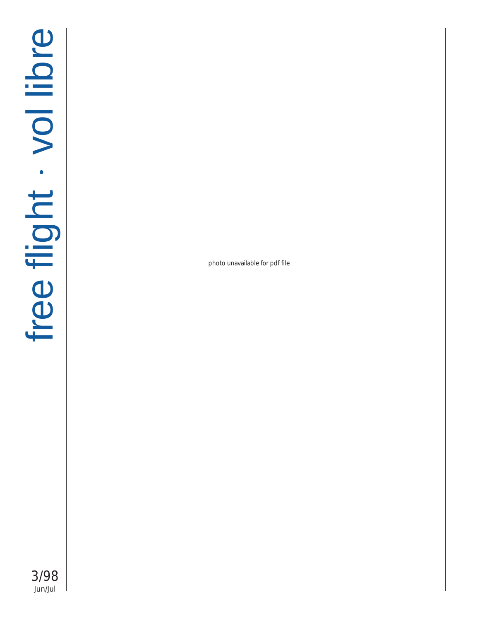photo unavailable for pdf file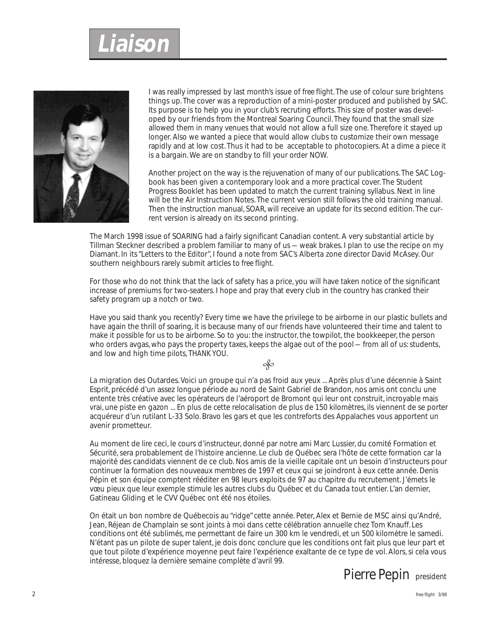# **Liaison**



I was really impressed by last month's issue of *free flight*. The use of colour sure brightens things up. The cover was a reproduction of a mini-poster produced and published by SAC. Its purpose is to help you in your club's recruting efforts. This size of poster was developed by our friends from the Montreal Soaring Council. They found that the small size allowed them in many venues that would not allow a full size one. Therefore it stayed up longer. Also we wanted a piece that would allow clubs to customize their own message rapidly and at low cost. Thus it had to be acceptable to photocopiers. At a dime a piece it is a bargain. We are on standby to fill your order NOW.

Another project on the way is the rejuvenation of many of our publications. The SAC Logbook has been given a contemporary look and a more practical cover. The Student Progress Booklet has been updated to match the current training syllabus. Next in line will be the Air Instruction Notes. The current version still follows the old training manual. Then the instruction manual, SOAR, will receive an update for its second edition. The current version is already on its second printing.

The March 1998 issue of SOARING had a fairly significant Canadian content. A very substantial article by Tillman Steckner described a problem familiar to many of us — weak brakes. I plan to use the recipe on my Diamant. In its "Letters to the Editor", I found a note from SAC's Alberta zone director David McAsey. Our southern neighbours rarely submit articles to *free flight*.

For those who do not think that the lack of safety has a price, you will have taken notice of the significant increase of premiums for two-seaters. I hope and pray that every club in the country has cranked their safety program up a notch or two.

Have you said thank you recently? Every time we have the privilege to be airborne in our plastic bullets and have again the thrill of soaring, it is because many of our friends have volunteered their time and talent to make it possible for us to be airborne. So to you: the instructor, the towpilot, the bookkeeper, the person who orders avgas, who pays the property taxes, keeps the algae out of the pool — from all of us: students, and low and high time pilots, *THANK YOU*.

#### $\infty$

La migration des Outardes. Voici un groupe qui n'a pas froid aux yeux ... Après plus d'une décennie à Saint Esprit, précédé d'un assez longue période au nord de Saint Gabriel de Brandon, nos amis ont conclu une entente très créative avec les opérateurs de l'aéroport de Bromont qui leur ont construit, incroyable mais vrai, une piste en gazon ... En plus de cette relocalisation de plus de 150 kilomètres, ils viennent de se porter acquéreur d'un rutilant L-33 Solo. Bravo les gars et que les contreforts des Appalaches vous apportent un avenir prometteur.

Au moment de lire ceci, le cours d'instructeur, donné par notre ami Marc Lussier, du comité Formation et Sécurité, sera probablement de l'histoire ancienne. Le club de Québec sera l'hôte de cette formation car la majorité des candidats viennent de ce club. Nos amis de la vieille capitale ont un besoin d'instructeurs pour continuer la formation des nouveaux membres de 1997 et ceux qui se joindront à eux cette année. Denis Pépin et son équipe comptent rééditer en 98 leurs exploits de 97 au chapitre du recrutement. J'émets le vœu pieux que leur exemple stimule les autres clubs du Québec et du Canada tout entier. L'an dernier, Gatineau Gliding et le CVV Québec ont été nos étoiles.

On était un bon nombre de Québecois au "ridge" cette année. Peter, Alex et Bernie de MSC ainsi qu'André, Jean, Réjean de Champlain se sont joints à moi dans cette célébration annuelle chez Tom Knauff. Les conditions ont été sublimés, me permettant de faire un 300 km le vendredi, et un 500 kilomètre le samedi. N'étant pas un pilote de super talent, je dois donc conclure que les conditions ont fait plus que leur part et que tout pilote d'expérience moyenne peut faire l'expérience exaltante de ce type de vol. Alors, si cela vous intéresse, bloquez la dernière semaine complète d'avril 99.

*Pierre Pepin* president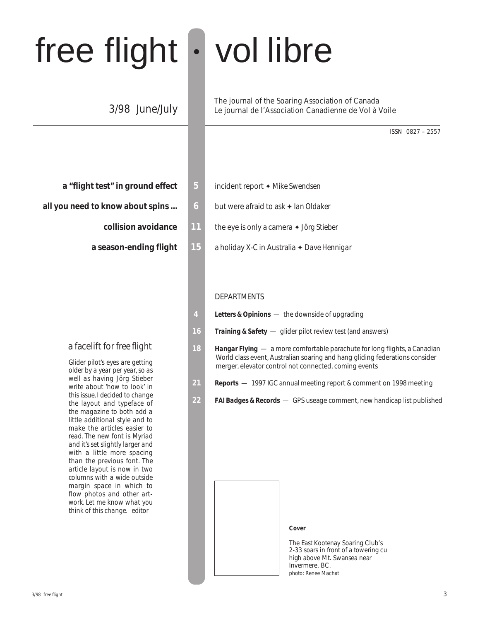# free flight • vol libre

### 3/98 June/July

| a "flight test" in ground effect |  |
|----------------------------------|--|
|----------------------------------|--|

- **all you need to know about spins ... 6** but were afraid to ask  $\triangle$  *lan Oldaker* 
	-
	-

#### a facelift for *free flight*

*Glider pilot's eyes are getting older by a year per year, so as well as having Jörg Stieber write about 'how to look' in this issue, I decided to change the layout and typeface of the magazine to both add a little additional style and to make the articles easier to read. The new font is Myriad and it's set slightly larger and with a little more spacing than the previous font. The article layout is now in two columns with a wide outside margin space in which to flow photos and other artwork. Let me know what you think of this change. editor*

The journal of the Soaring Association of Canada Le journal de l'Association Canadienne de Vol à Voile

ISSN 0827 – 2557

- **5** incident report ♦ Mike Swendsen
	-
- **collision avoidance 11** the eye is only a camera ✦ *Jörg Stieber*
- **a season-ending flight 15** a holiday X-C in Australia ✦ *Dave Hennigar*

#### **DEPARTMENTS**

- **4** *Letters & Opinions*  the downside of upgrading
- **16** *Training & Safety*  glider pilot review test (and answers)
- **18** *Hangar Flying*  a more comfortable parachute for long flights, a Canadian World class event, Australian soaring and hang gliding federations consider merger, elevator control not connected, coming events
- **21** *Reports*  1997 IGC annual meeting report & comment on 1998 meeting
- **22** *FAI Badges & Records*  GPS useage comment, new handicap list published



**Cover**

The East Kootenay Soaring Club's 2-33 soars in front of a towering cu high above Mt. Swansea near Invermere, BC. photo: Renee Machat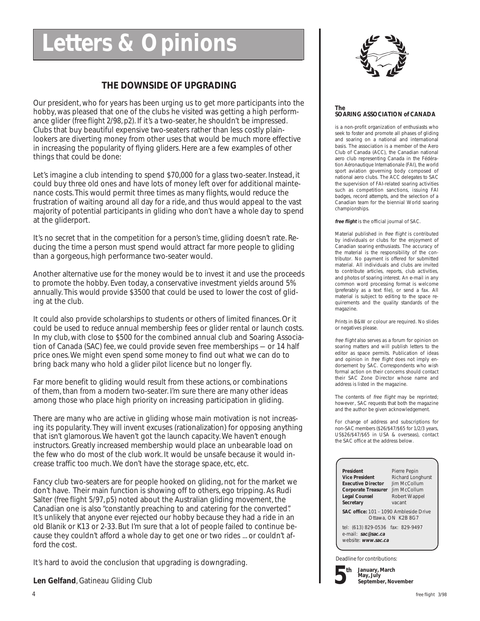# **Letters & Opinions**

#### **THE DOWNSIDE OF UPGRADING**

Our president, who for years has been urging us to get more participants into the hobby, was pleased that one of the clubs he visited was getting a high performance glider (*free flight 2/98, p2*). If it's a two-seater, he shouldn't be impressed. Clubs that buy beautiful expensive two-seaters rather than less costly plainlookers are diverting money from other uses that would be much more effective in increasing the popularity of flying gliders. Here are a few examples of other things that could be done:

Let's imagine a club intending to spend \$70,000 for a glass two-seater. Instead, it could buy three old ones and have lots of money left over for additional maintenance costs. This would permit three times as many flights, would reduce the frustration of waiting around all day for a ride, and thus would appeal to the vast majority of potential participants in gliding who don't have a whole day to spend at the gliderport.

It's no secret that in the competition for a person's time, gliding doesn't rate. Reducing the time a person must spend would attract far more people to gliding than a gorgeous, high performance two-seater would.

Another alternative use for the money would be to invest it and use the proceeds to promote the hobby. Even today, a conservative investment yields around 5% annually. This would provide \$3500 that could be used to lower the cost of gliding at the club.

It could also provide scholarships to students or others of limited finances. Or it could be used to reduce annual membership fees or glider rental or launch costs. In my club, with close to \$500 for the combined annual club and Soaring Association of Canada (SAC) fee, we could provide seven free memberships — or 14 half price ones. We might even spend some money to find out what we can do to bring back many who hold a glider pilot licence but no longer fly.

Far more benefit to gliding would result from these actions, or combinations of them, than from a modern two-seater. I'm sure there are many other ideas among those who place high priority on increasing participation in gliding.

There are many who are active in gliding whose main motivation is not increasing its popularity. They will invent excuses (rationalization) for opposing anything that isn't glamorous. We haven't got the launch capacity. We haven't enough instructors. Greatly increased membership would place an unbearable load on the few who do most of the club work. It would be unsafe because it would increase traffic too much. We don't have the storage space, etc, etc.

Fancy club two-seaters are for people hooked on gliding, not for the market we don't have. Their main function is showing off to others, ego tripping. As Rudi Salter (*free flight 5/97, p5*) noted about the Australian gliding movement, the Canadian one is also "constantly preaching to and catering for the converted". It's unlikely that anyone ever rejected our hobby because they had a ride in an old Blanik or K13 or 2-33. But I'm sure that a lot of people failed to continue because they couldn't afford a whole day to get one or two rides ... or couldn't afford the cost.

It's hard to avoid the conclusion that upgrading is downgrading.

**Len Gelfand**, Gatineau Gliding Club



#### **The SOARING ASSOCIATION of CANADA**

is a non-profit organization of enthusiasts who seek to foster and promote all phases of gliding and soaring on a national and international basis. The association is a member of the Aero Club of Canada (ACC), the Canadian national aero club representing Canada in the Fédération Aéronautique Internationale (FAI), the world sport aviation governing body composed of national aero clubs. The ACC delegates to SAC the supervision of FAI-related soaring activities such as competition sanctions, issuing FAI badges, record attempts, and the selection of a Canadian team for the biennial World soaring championships.

**free flight** is the official journal of SAC.

Material published in free flight is contributed by individuals or clubs for the enjoyment of Canadian soaring enthusiasts. The accuracy of the material is the responsibility of the contributor. No payment is offered for submitted material. All individuals and clubs are invited to contribute articles, reports, club activities, and photos of soaring interest. An e-mail in any common word processing format is welcome (preferably as a text file), or send a fax. All material is subject to editing to the space requirements and the quality standards of the magazine.

Prints in B&W or colour are required. No slides or negatives please.

free flight also serves as a forum for opinion on soaring matters and will publish letters to the editor as space permits. Publication of ideas and opinion in free flight does not imply endorsement by SAC. Correspondents who wish formal action on their concerns should contact their SAC Zone Director whose name and address is listed in the magazine.

The contents of free flight may be reprinted; however, SAC requests that both the magazine and the author be given acknowledgement.

For change of address and subscriptions for non-SAC members (\$26/\$47/\$65 for 1/2/3 years, US\$26/\$47/\$65 in USA & overseas), contact the SAC office at the address below.

**President** Pierre Pepin<br> **Vice President** Richard Long **Executive Director Corporate Treasurer** Jim McCollum<br> **Legal Counsel** Robert Wappel **Secretary** 

**Richard Longhurst**<br>Jim McCollum Robert Wappel<br>vacant

**SAC office:** 101 – 1090 Ambleside Drive Ottawa, ON K2B 8G7

tel: (613) 829-0536 fax: 829-9497 e-mail: **sac@sac.ca** website: **www.sac.ca**

Deadline for contributions:

**5 th**

**January, March May, July September, November**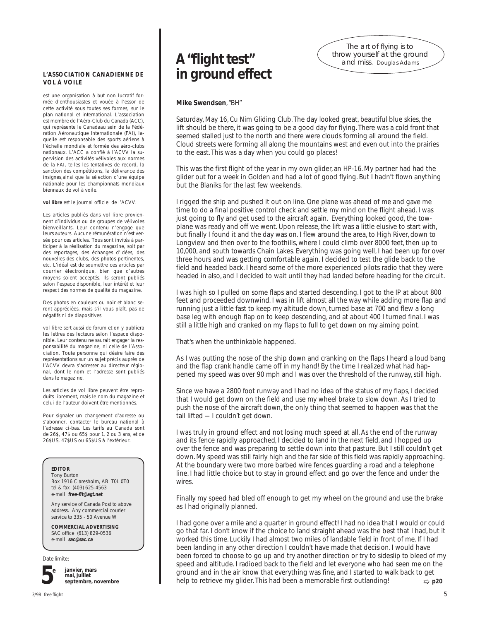#### **L'ASSOCIATION CANADIENNE DE VOL À VOILE**

est une organisation à but non lucratif formée d'enthousiastes et vouée à l'essor de cette activité sous toutes ses formes, sur le plan national et international. L'association est membre de l'Aéro-Club du Canada (ACC), qui représente le Canadaau sein de la Fédération Aéronautique Internationale (FAI), laquelle est responsable des sports aériens à l'échelle mondiale et formée des aéro-clubs nationaux. L'ACC a confié à l'ACVV la supervision des activités vélivoles aux normes de la FAI, telles les tentatives de record, la sanction des compétitions, la délivrance des insignes,ainsi que la sélection d'une équipe nationale pour les championnats mondiaux biennaux de vol à voile.

**vol libre** est le journal officiel de l'ACVV.

Les articles publiés dans vol libre proviennent d'individus ou de groupes de vélivoles bienveillants. Leur contenu n'engage que leurs auteurs. Aucune rémunération n'est versée pour ces articles. Tous sont invités à participer à la réalisation du magazine, soit par des reportages, des échanges d'idées, des nouvelles des clubs, des photos pertinentes, etc. L'idéal est de soumettre ces articles par courrier électronique, bien que d'autres moyens soient acceptés. Ils seront publiés selon l'espace disponible, leur intérêt et leur respect des normes de qualité du magazine.

Des photos en couleurs ou noir et blanc seront appréciées, mais s'il vous plaît, pas de négatifs ni de diapositives.

vol libre sert aussi de forum et on y publiera les lettres des lecteurs selon l'espace disponible. Leur contenu ne saurait engager la responsabilité du magazine, ni celle de l'Association. Toute personne qui désire faire des représentations sur un sujet précis auprès de l'ACVV devra s'adresser au directeur régional, dont le nom et l'adresse sont publiés dans le magazine.

Les articles de vol libre peuvent être reproduits librement, mais le nom du magazine et celui de l'auteur doivent être mentionnés.

Pour signaler un changement d'adresse ou s'abonner, contacter le bureau national à l'adresse ci-bas. Les tarifs au Canada sont de 26\$, 47\$ ou 65\$ pour 1, 2 ou 3 ans, et de 26\$US, 47\$US ou 65\$US à l'extérieur.

#### **EDITOR**

Tony Burton Box 1916 Claresholm, AB T0L 0T0 tel & fax (403) 625-4563 e-mail **free-flt@agt.net**

Any service of Canada Post to above address. Any commercial courier service to 335 - 50 Avenue W

**COMMERCIAL ADVERTISING** SAC office (613) 829-0536 e-mail **sac@sac.ca**

Date limite:



**janvier, mars mai, juillet septembre, novembre**

### **A "flight test" in ground effect**

The art of flying is to throw yourself at the ground and miss. Douglas Adams

#### **Mike Swendsen**, "BH"

Saturday, May 16, Cu Nim Gliding Club. The day looked great, beautiful blue skies, the lift should be there, it was going to be a good day for flying. There was a cold front that seemed stalled just to the north and there were clouds forming all around the field. Cloud streets were forming all along the mountains west and even out into the prairies to the east. This was a day when you could go places!

This was the first flight of the year in my own glider, an HP-16. My partner had had the glider out for a week in Golden and had a lot of good flying. But I hadn't flown anything but the Blaniks for the last few weekends.

I rigged the ship and pushed it out on line. One plane was ahead of me and gave me time to do a final positive control check and settle my mind on the flight ahead. I was just going to fly and get used to the aircraft again. Everything looked good, the towplane was ready and off we went. Upon release, the lift was a little elusive to start with, but finally I found it and the day was on. I flew around the area, to High River, down to Longview and then over to the foothills, where I could climb over 8000 feet, then up to 10,000, and south towards Chain Lakes. Everything was going well, I had been up for over three hours and was getting comfortable again. I decided to test the glide back to the field and headed back. I heard some of the more experienced pilots radio that they were headed in also, and I decided to wait until they had landed before heading for the circuit.

I was high so I pulled on some flaps and started descending. I got to the IP at about 800 feet and proceeded downwind. I was in lift almost all the way while adding more flap and running just a little fast to keep my altitude down, turned base at 700 and flew a long base leg with enough flap on to keep descending, and at about 400 I turned final. I was still a little high and cranked on my flaps to full to get down on my aiming point.

That's when the unthinkable happened.

As I was putting the nose of the ship down and cranking on the flaps I heard a loud bang and the flap crank handle came off in my hand! By the time I realized what had happened my speed was over 90 mph and I was over the threshold of the runway, still high.

Since we have a 2800 foot runway and I had no idea of the status of my flaps, I decided that I would get down on the field and use my wheel brake to slow down. As I tried to push the nose of the aircraft down, the only thing that seemed to happen was that the tail lifted — I couldn't get down.

I was truly in ground effect and not losing much speed at all. As the end of the runway and its fence rapidly approached, I decided to land in the next field, and I hopped up over the fence and was preparing to settle down into that pasture. But I still couldn't get down. My speed was still fairly high and the far side of this field was rapidly approaching. At the boundary were two more barbed wire fences guarding a road and a telephone line. I had little choice but to stay in ground effect and go over the fence and under the wires.

Finally my speed had bled off enough to get my wheel on the ground and use the brake as I had originally planned.

➯ **p20** I had gone over a mile and a quarter in ground effect! I had no idea that I would or could go that far. I don't know if the choice to land straight ahead was the best that I had, but it worked this time. Luckily I had almost two miles of landable field in front of me. If I had been landing in any other direction I couldn't have made that decision. I would have been forced to choose to go up and try another direction or try to sideslip to bleed of my speed and altitude. I radioed back to the field and let everyone who had seen me on the ground and in the air know that everything was fine, and I started to walk back to get help to retrieve my glider. This had been a memorable first outlanding!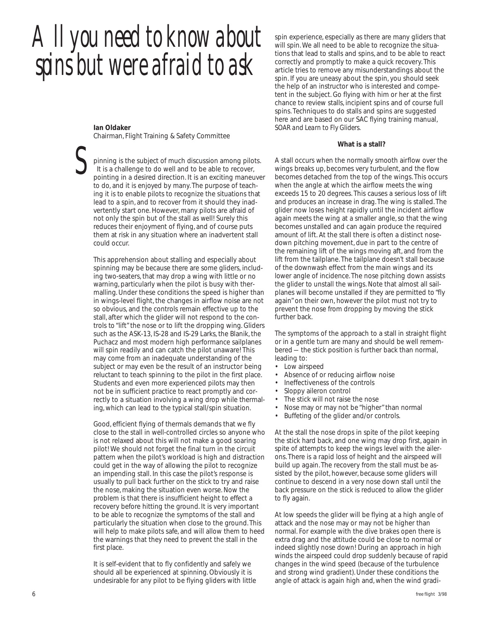*All you need to know about spins but were afraid to ask*

**Ian Oldaker** Chairman, Flight Training & Safety Committee

*S* pinning is the subject of much discussion among pilots. It is a challenge to do well and to be able to recover, pointing in a desired direction. It is an exciting maneuver to do, and it is enjoyed by many. The purpose of teaching it is to enable pilots to recognize the situations that lead to a spin, and to recover from it should they inadvertently start one. However, many pilots are afraid of not only the spin but of the stall as well! Surely this reduces their enjoyment of flying, and of course puts them at risk in any situation where an inadvertent stall could occur.

This apprehension about stalling and especially about spinning may be because there are some gliders, including two-seaters, that may drop a wing with little or no warning, particularly when the pilot is busy with thermalling. Under these conditions the speed is higher than in wings-level flight, the changes in airflow noise are not so obvious, and the controls remain effective up to the stall, after which the glider will not respond to the controls to "lift" the nose or to lift the dropping wing. Gliders such as the ASK-13, IS-28 and IS-29 Larks, the Blanik, the Puchacz and most modern high performance sailplanes will spin readily and can catch the pilot unaware! This may come from an inadequate understanding of the subject or may even be the result of an instructor being reluctant to teach spinning to the pilot in the first place. Students and even more experienced pilots may then not be in sufficient practice to react promptly and correctly to a situation involving a wing drop while thermaling, which can lead to the typical stall/spin situation.

Good, efficient flying of thermals demands that we fly close to the stall in well-controlled circles so anyone who is not relaxed about this will not make a good soaring pilot! We should not forget the final turn in the circuit pattern when the pilot's workload is high and distraction could get in the way of allowing the pilot to recognize an impending stall. In this case the pilot's response is usually to pull back further on the stick to try and raise the nose, making the situation even worse. Now the problem is that there is insufficient height to effect a recovery before hitting the ground. It is very important to be able to recognize the symptoms of the stall and particularly the situation when close to the ground. This will help to make pilots safe, and will allow them to heed the warnings that they need to prevent the stall in the first place.

It is self-evident that to fly confidently and safely we should all be experienced at spinning. Obviously it is undesirable for any pilot to be flying gliders with little spin experience, especially as there are many gliders that will spin. We all need to be able to recognize the situations that lead to stalls and spins, and to be able to react correctly and promptly to make a quick recovery. This article tries to remove any misunderstandings about the spin. If you are uneasy about the spin, you should seek the help of an instructor who is interested and competent in the subject. Go flying with him or her at the first chance to review stalls, incipient spins and of course full spins. Techniques to do stalls and spins are suggested here and are based on our SAC flying training manual, *SOAR and Learn to Fly Gliders*.

#### **What is a stall?**

A stall occurs when the normally smooth airflow over the wings breaks up, becomes very turbulent, and the flow becomes detached from the top of the wings. This occurs when the angle at which the airflow meets the wing exceeds 15 to 20 degrees. This causes a serious loss of lift and produces an increase in drag. The wing is stalled. The glider now loses height rapidly until the incident airflow again meets the wing at a smaller angle, so that the wing becomes unstalled and can again produce the required amount of lift. At the stall there is often a distinct nosedown pitching movement, due in part to the centre of the remaining lift of the wings moving aft, and from the lift from the tailplane. The tailplane doesn't stall because of the downwash effect from the main wings and its lower angle of incidence. The nose pitching down assists the glider to unstall the wings. Note that almost all sailplanes will become unstalled if they are permitted to "fly again" on their own, however the pilot must not try to prevent the nose from dropping by moving the stick further back.

The symptoms of the approach to a stall in straight flight or in a gentle turn are many and should be well remembered — the stick position is further back than normal, leading to:

- Low airspeed
- Absence of or reducing airflow noise
- Ineffectiveness of the controls
- Sloppy aileron control
- The stick will not raise the nose
- Nose may or may not be "higher" than normal
- Buffeting of the glider and/or controls.

At the stall the nose drops in spite of the pilot keeping the stick hard back, and one wing may drop first, again in spite of attempts to keep the wings level with the ailerons. There is a rapid loss of height and the airspeed will build up again. The recovery from the stall must be assisted by the pilot, however, because some gliders will continue to descend in a very nose down stall until the back pressure on the stick is reduced to allow the glider to fly again.

At low speeds the glider will be flying at a high angle of attack and the nose may or may not be higher than normal. For example with the dive brakes open there is extra drag and the attitude could be close to normal or indeed slightly nose down! During an approach in high winds the airspeed could drop suddenly because of rapid changes in the wind speed (because of the turbulence and strong wind gradient). Under these conditions the angle of attack is again high and, when the wind gradi-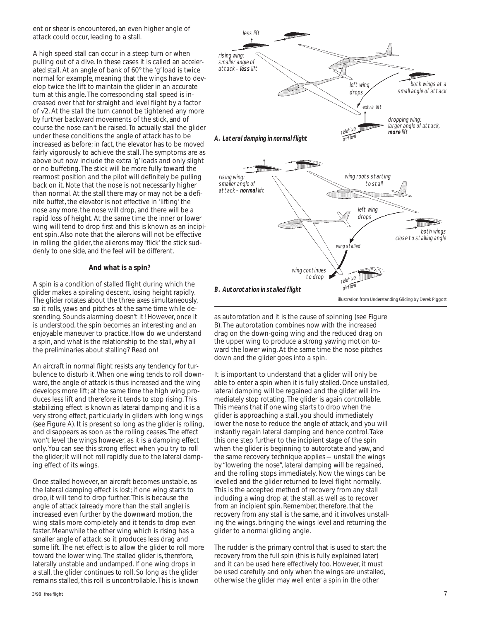ent or shear is encountered, an even higher angle of attack could occur, leading to a stall.

A high speed stall can occur in a steep turn or when pulling out of a dive. In these cases it is called an *accelerated* stall. At an angle of bank of 60° the 'g' load is twice normal for example, meaning that the wings have to develop twice the lift to maintain the glider in an accurate turn at this angle. The corresponding stall speed is increased over that for straight and level flight by a factor of √2. At the stall the turn cannot be tightened any more by further backward movements of the stick, and of course the nose can't be raised. To actually stall the glider under these conditions the angle of attack has to be increased as before; in fact, the elevator has to be moved fairly vigorously to achieve the stall. The symptoms are as above but now include the extra 'g' loads and only slight or no buffeting. The stick will be more fully toward the rearmost position and the pilot will definitely be pulling back on it. Note that the nose is not necessarily higher than normal. At the stall there may or may not be a definite buffet, the elevator is not effective in 'lifting' the nose any more, the nose will drop, and there will be a rapid loss of height. At the same time the inner or lower wing will tend to drop first and this is known as an incipient spin. Also note that the ailerons will not be effective in rolling the glider, the ailerons may 'flick' the stick suddenly to one side, and the feel will be different.

#### **And what is a spin?**

A spin is a condition of stalled flight during which the glider makes a spiraling descent, losing height rapidly. The glider rotates about the three axes simultaneously, so it rolls, yaws and pitches at the same time while descending. Sounds alarming doesn't it! However, once it is understood, the spin becomes an interesting and an enjoyable maneuver to practice. How do we understand a spin, and what is the relationship to the stall, why all the preliminaries about stalling? Read on!

An aircraft in normal flight resists any tendency for turbulence to disturb it. When one wing tends to roll downward, the angle of attack is thus increased and the wing develops more lift; at the same time the high wing produces less lift and therefore it tends to stop rising. This stabilizing effect is known as lateral damping and it is a very strong effect, particularly in gliders with long wings (see Figure A). It is present so long as the glider is rolling, and disappears as soon as the rolling ceases. The effect won't level the wings however, as it is a damping effect only. You can see this strong effect when you try to roll the glider; it will not roll rapidly due to the lateral damping effect of its wings.

Once stalled however, an aircraft becomes unstable, as the lateral damping effect is lost; if one wing starts to drop, it will tend to drop further. This is because the angle of attack (already more than the stall angle) is increased even further by the downward motion, the wing stalls more completely and it tends to drop even faster. Meanwhile the other wing which is rising has a smaller angle of attack, so it produces less drag and some lift. The net effect is to allow the glider to roll more toward the lower wing. The stalled glider is, therefore, laterally unstable and undamped. If one wing drops in a stall, the glider continues to roll. So long as the glider remains stalled, this roll is uncontrollable. This is known



as autorotation and it is the cause of spinning (see Figure B). The autorotation combines now with the increased drag on the down-going wing and the reduced drag on the upper wing to produce a strong yawing motion toward the lower wing. At the same time the nose pitches down and the glider goes into a spin.

It is important to understand that a glider will only be able to enter a spin when it is fully stalled. Once unstalled, lateral damping will be regained and the glider will immediately stop rotating. The glider is again controllable. This means that if one wing starts to drop when the glider is approaching a stall, you should immediately lower the nose to reduce the angle of attack, and you will instantly regain lateral damping and hence control. Take this one step further to the incipient stage of the spin when the glider is beginning to autorotate and yaw, and the same recovery technique applies — unstall the wings by "lowering the nose", lateral damping will be regained, and the rolling stops immediately. Now the wings can be levelled and the glider returned to level flight normally. This is the accepted method of recovery from any stall including a wing drop at the stall, as well as to recover from an incipient spin. Remember, therefore, that the recovery from any stall is the same, and it involves unstalling the wings, bringing the wings level and returning the glider to a normal gliding angle.

The rudder is the primary control that is used to start the recovery from the full spin (this is fully explained later) and it can be used here effectively too. However, it must be used carefully and only when the wings are unstalled, otherwise the glider may well enter a spin in the other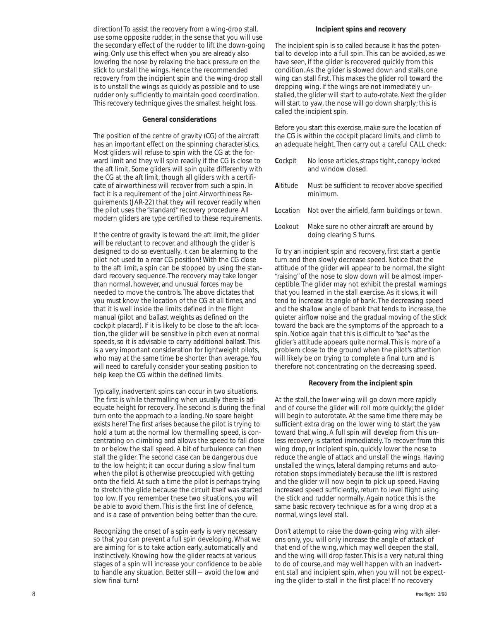direction! To assist the recovery from a wing-drop stall, use some opposite rudder, in the sense that you will use the secondary effect of the rudder to lift the down-going wing. Only use this effect when you are already also lowering the nose by relaxing the back pressure on the stick to unstall the wings. Hence the recommended recovery from the incipient spin and the wing-drop stall is to unstall the wings as quickly as possible and to use rudder only sufficiently to maintain good coordination. This recovery technique gives the smallest height loss.

#### **General considerations**

The position of the centre of gravity (CG) of the aircraft has an important effect on the spinning characteristics. Most gliders will refuse to spin with the CG at the forward limit and they will spin readily if the CG is close to the aft limit. Some gliders will spin quite differently with the CG at the aft limit, though all gliders with a certificate of airworthiness will recover from such a spin. In fact it is a requirement of the Joint Airworthiness Requirements (JAR-22) that they will recover readily when the pilot uses the "standard" recovery procedure. All modern gliders are type certified to these requirements.

If the centre of gravity is toward the aft limit, the glider will be reluctant to recover, and although the glider is designed to do so eventually, it can be alarming to the pilot not used to a rear CG position! With the CG close to the aft limit, a spin can be stopped by using the standard recovery sequence. The recovery may take longer than normal, however, and unusual forces may be needed to move the controls. The above dictates that you *must* know the location of the CG at all times, and that it is well inside the limits defined in the flight manual (pilot and ballast weights as defined on the cockpit placard). If it is likely to be close to the aft location, the glider will be sensitive in pitch even at normal speeds, so it is advisable to carry additional ballast. This is a very important consideration for lightweight pilots, who may at the same time be shorter than average. You will need to carefully consider your seating position to help keep the CG within the defined limits.

Typically, inadvertent spins can occur in two situations. The first is while thermalling when usually there is adequate height for recovery. The second is during the final turn onto the approach to a landing. No spare height exists here! The first arises because the pilot is trying to hold a turn at the normal low thermalling speed, is concentrating on climbing and allows the speed to fall close to or below the stall speed. A bit of turbulence can then stall the glider. The second case can be dangerous due to the low height; it can occur during a slow final turn when the pilot is otherwise preoccupied with getting onto the field. At such a time the pilot is perhaps trying to stretch the glide because the circuit itself was started too low. If you remember these two situations, you will be able to avoid them. This is the first line of defence, and is a case of prevention being better than the cure.

Recognizing the onset of a spin early is very necessary so that you can prevent a full spin developing. What we are aiming for is to take action early, automatically and instinctively. Knowing how the glider reacts at various stages of a spin will increase your confidence to be able to handle any situation. Better still — avoid the low and slow final turn!

#### **Incipient spins and recovery**

The incipient spin is so called because it has the potential to develop into a full spin. This can be avoided, as we have seen, if the glider is recovered quickly from this condition. As the glider is slowed down and stalls, one wing can stall first. This makes the glider roll toward the dropping wing. If the wings are not immediately unstalled, the glider will start to auto-rotate. Next the glider will start to yaw, the nose will go down sharply; this is called the incipient spin.

Before you start this exercise, make sure the location of the CG is within the cockpit placard limits, and climb to an adequate height. Then carry out a careful CALL check:

- *Cockpit* No loose articles, straps tight, canopy locked and window closed.
- *Altitude* Must be sufficient to recover above specified minimum.
- *Location* Not over the airfield, farm buildings or town.
- *Lookout* Make sure no other aircraft are around by doing clearing S turns.

To try an incipient spin and recovery, first start a gentle turn and then slowly decrease speed. Notice that the attitude of the glider will appear to be normal, the slight "raising" of the nose to slow down will be almost imperceptible. The glider may not exhibit the prestall warnings that you learned in the stall exercise. As it slows, it will tend to increase its angle of bank. The decreasing speed and the shallow angle of bank that tends to increase, the quieter airflow noise and the gradual moving of the stick toward the back are the symptoms of the approach to a spin. Notice again that this is difficult to "see" as the glider's attitude appears quite normal. This is more of a problem close to the ground when the pilot's attention will likely be on trying to complete a final turn and is therefore not concentrating on the decreasing speed.

#### **Recovery from the incipient spin**

At the stall, the lower wing will go down more rapidly and of course the glider will roll more quickly; the glider will begin to autorotate. At the same time there may be sufficient extra drag on the lower wing to start the yaw toward that wing. A full spin will develop from this unless recovery is started immediately. To recover from this wing drop, or incipient spin, quickly lower the nose to reduce the angle of attack and unstall the wings. Having unstalled the wings, lateral damping returns and autorotation stops immediately because the lift is restored and the glider will now begin to pick up speed. Having increased speed sufficiently, return to level flight using the stick and rudder normally. Again notice this is the same basic recovery technique as for a wing drop at a normal, wings level stall.

Don't attempt to raise the down-going wing with ailerons only, you will only increase the angle of attack of that end of the wing, which may well deepen the stall, and the wing will drop faster. This is a very natural thing to do of course, and may well happen with an inadvertent stall and incipient spin, when you will not be expecting the glider to stall in the first place! If no recovery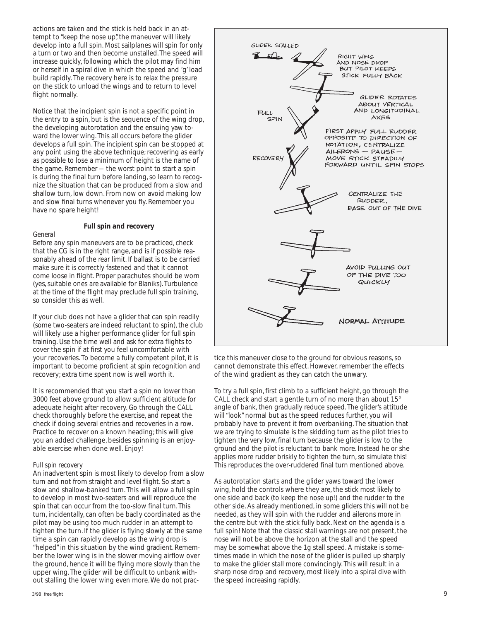actions are taken and the stick is held back in an attempt to "keep the nose up", the maneuver will likely develop into a full spin. Most sailplanes will spin for only a turn or two and then become unstalled. The speed will increase quickly, following which the pilot may find him or herself in a spiral dive in which the speed and 'g' load build rapidly. The recovery here is to relax the pressure on the stick to unload the wings and to return to level flight normally.

Notice that the incipient spin is not a specific point in the entry to a spin, but is the sequence of the wing drop, the developing autorotation and the ensuing yaw toward the lower wing. This all occurs before the glider develops a full spin. The incipient spin can be stopped at any point using the above technique; recovering as early as possible to lose a minimum of height is the name of the game. Remember — the worst point to start a spin is during the final turn before landing, so learn to recognize the situation that can be produced from a slow and shallow turn, low down. From now on avoid making low and slow final turns whenever you fly. Remember you have no spare height!

#### **Full spin and recovery**

#### *General*

Before any spin maneuvers are to be practiced, check that the CG is in the right range, and is if possible reasonably ahead of the rear limit. If ballast is to be carried make sure it is correctly fastened and that it cannot come loose in flight. Proper parachutes should be worn (yes, suitable ones *are* available for Blaniks). Turbulence at the time of the flight may preclude full spin training, so consider this as well.

If your club does not have a glider that can spin readily (some two-seaters are indeed reluctant to spin), the club will likely use a higher performance glider for full spin training. Use the time well and ask for extra flights to cover the spin if at first you feel uncomfortable with your recoveries. To become a fully competent pilot, it is important to become proficient at spin recognition and recovery; extra time spent now is well worth it.

It is recommended that you start a spin no lower than 3000 feet above ground to allow sufficient altitude for adequate height after recovery. Go through the CALL check thoroughly before the exercise, and repeat the check if doing several entries and recoveries in a row. Practice to recover on a known heading; this will give you an added challenge, besides spinning is an enjoyable exercise when done well. Enjoy!

#### *Full spin recovery*

An inadvertent spin is most likely to develop from a slow turn and not from straight and level flight. So start a slow and shallow-banked turn. This will allow a full spin to develop in most two-seaters and will reproduce the spin that can occur from the too-slow final turn. This turn, incidentally, can often be badly coordinated as the pilot may be using too much rudder in an attempt to tighten the turn. If the glider is flying slowly at the same time a spin can rapidly develop as the wing drop is "helped" in this situation by the wind gradient. Remember the lower wing is in the slower moving airflow over the ground, hence it will be flying more slowly than the upper wing. The glider will be difficult to unbank without stalling the lower wing even more. We do not prac-



tice this maneuver close to the ground for obvious reasons, so cannot demonstrate this effect. However, remember the effects of the wind gradient as they can catch the unwary.

To try a full spin, first climb to a sufficient height, go through the CALL check and start a gentle turn of no more than about 15° angle of bank, then gradually reduce speed. The glider's attitude will "look" normal but as the speed reduces further, you will probably have to prevent it from overbanking. The situation that we are trying to simulate is the skidding turn as the pilot tries to tighten the very low, final turn because the glider is low to the ground and the pilot is reluctant to bank more. Instead he or she applies more rudder briskly to tighten the turn, so simulate this! This reproduces the over-ruddered final turn mentioned above.

As autorotation starts and the glider yaws toward the lower wing, hold the controls where they are, the stick most likely to one side and back (to keep the nose up!) and the rudder to the other side. As already mentioned, in some gliders this will not be needed, as they will spin with the rudder and ailerons more in the centre but with the stick fully back. Next on the agenda is a full spin! Note that the classic stall warnings are not present, the nose will not be above the horizon at the stall and the speed may be somewhat above the 1g stall speed. A mistake is sometimes made in which the nose of the glider is pulled up sharply to make the glider stall more convincingly. This will result in a sharp nose drop and recovery, most likely into a spiral dive with the speed increasing rapidly.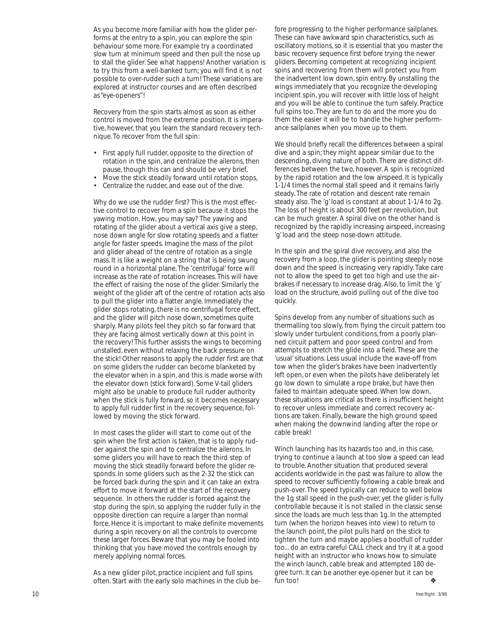As you become more familiar with how the glider performs at the entry to a spin, you can explore the spin behaviour some more. For example try a coordinated slow turn at minimum speed and then pull the nose up to stall the glider. See what happens! Another variation is to try this from a well-banked turn; you will find it is not possible to over-rudder such a turn! These variations are explored at instructor courses and are often described as "eye-openers"!

Recovery from the spin starts almost as soon as either control is moved from the extreme position. It is imperative, however, that you learn the standard recovery technique. To recover from the full spin:

- First apply full rudder, opposite to the direction of rotation in the spin, and centralize the ailerons, then pause, though this can and should be very brief,
- Move the stick steadily forward until rotation stops,
- Centralize the rudder, and ease out of the dive.

Why do we use the rudder first? This is the most effective control to recover from a spin because it stops the yawing motion. How, you may say? The yawing and rotating of the glider about a vertical axis give a steep, nose down angle for slow rotating speeds and a flatter angle for faster speeds. Imagine the mass of the pilot and glider ahead of the centre of rotation as a single mass. It is like a weight on a string that is being swung round in a horizontal plane. The 'centrifugal' force will increase as the rate of rotation increases. This will have the effect of raising the nose of the glider. Similarly the weight of the glider aft of the centre of rotation acts also to pull the glider into a flatter angle. Immediately the glider stops rotating, there is no centrifugal force effect, and the glider will pitch nose down, sometimes quite sharply. Many pilots feel they pitch so far forward that they are facing almost vertically down at this point in the recovery! This further assists the wings to becoming unstalled, even without relaxing the back pressure on the stick! Other reasons to apply the rudder first are that on some gliders the rudder can become blanketed by the elevator when in a spin, and this is made worse with the elevator down (stick forward). Some V-tail gliders might also be unable to produce full rudder authority when the stick is fully forward, so it becomes necessary to apply full rudder first in the recovery sequence, followed by moving the stick forward.

In most cases the glider will start to come out of the spin when the first action is taken, that is to apply rudder against the spin and to centralize the ailerons. In some gliders you will have to reach the third step of moving the stick steadily forward before the glider responds. In some gliders such as the 2-32 the stick can be forced back during the spin and it can take an extra effort to move it forward at the start of the recovery sequence. In others the rudder is forced against the stop during the spin, so applying the rudder fully in the opposite direction can require a larger than normal force. Hence it is important to make definite movements during a spin recovery on all the controls to overcome these larger forces. Beware that you may be fooled into thinking that you have moved the controls enough by merely applying normal forces.

As a new glider pilot, practice incipient and full spins often. Start with the early solo machines in the club before progressing to the higher performance sailplanes. These can have awkward spin characteristics, such as oscillatory motions, so it is essential that you master the basic recovery sequence first before trying the newer gliders. Becoming competent at recognizing incipient spins and recovering from them will protect you from the inadvertent low down, spin entry. By unstalling the wings immediately that you recognize the developing incipient spin, you will recover with little loss of height and you will be able to continue the turn safely. Practice full spins too. They are fun to do and the more you do them the easier it will be to handle the higher performance sailplanes when you move up to them.

We should briefly recall the differences between a spiral dive and a spin; they might appear similar due to the descending, diving nature of both. There are distinct differences between the two, however. A spin is recognized by the rapid rotation and the low airspeed. It is typically 1-1/4 times the normal stall speed and it remains fairly steady. The rate of rotation and descent rate remain steady also. The 'g' load is constant at about 1-1/4 to 2g. The loss of height is about 300 feet per revolution, but can be much greater. A spiral dive on the other hand is recognized by the rapidly increasing airspeed, increasing 'g' load and the steep nose-down attitude.

In the spin and the spiral dive recovery, and also the recovery from a loop, the glider is pointing steeply nose down and the speed is increasing very rapidly. Take care not to allow the speed to get too high and use the airbrakes if necessary to increase drag. Also, to limit the 'g' load on the structure, avoid pulling out of the dive too quickly.

Spins develop from any number of situations such as thermalling too slowly, from flying the circuit pattern too slowly under turbulent conditions, from a poorly planned circuit pattern and poor speed control and from attempts to stretch the glide into a field. These are the 'usual' situations. Less usual include the wave-off from tow when the glider's brakes have been inadvertently left open, or even when the pilots have deliberately let go low down to simulate a rope brake, but have then failed to maintain adequate speed. When low down, these situations are critical as there is insufficient height to recover unless immediate and correct recovery actions are taken. Finally, beware the high ground speed when making the downwind landing after the rope or cable break!

Winch launching has its hazards too and, in this case, trying to continue a launch at too slow a speed can lead to trouble. Another situation that produced several accidents worldwide in the past was failure to allow the speed to recover sufficiently following a cable break and push-over. The speed typically can reduce to well below the 1g stall speed in the push-over, yet the glider is fully controllable because it is not stalled in the classic sense since the loads are much less than 1g. In the attempted turn (when the horizon heaves into view) to return to the launch point, the pilot pulls hard on the stick to tighten the turn and maybe applies a bootfull of rudder too... do an extra careful CALL check and try it at a good height with an instructor who knows how to simulate the winch launch, cable break and attempted 180 degree turn. It can be another eye-opener but it can be fun too! ❖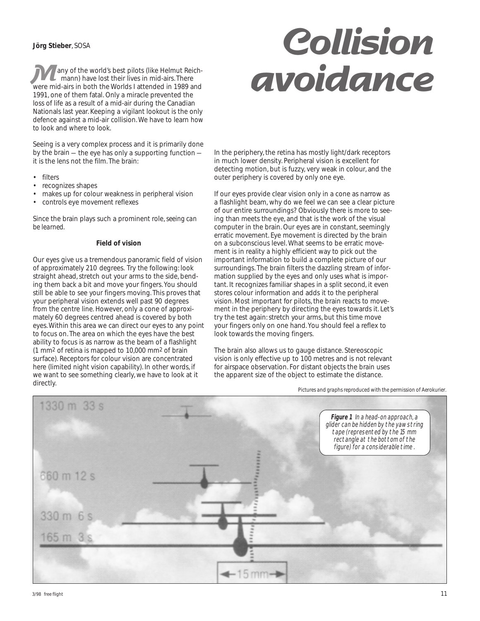#### **Jörg Stieber**, SOSA

 any of the world's best pilots (like Helmut Reich mann) have lost their lives in mid-airs. There were mid-airs in both the Worlds I attended in 1989 and 1991, one of them fatal. Only a miracle prevented the loss of life as a result of a mid-air during the Canadian Nationals last year. Keeping a vigilant lookout is the only defence against a mid-air collision. We have to learn *how* to look and *where* to look.

Seeing is a very complex process and it is primarily done by the brain — the eye has only a supporting function it is the lens not the film. The brain:

- **filters**
- recognizes shapes
- makes up for colour weakness in peripheral vision
- controls eye movement reflexes

Since the brain plays such a prominent role, *seeing can be learned.*

#### **Field of vision**

Our eyes give us a tremendous panoramic field of vision of approximately 210 degrees. Try the following: look straight ahead, stretch out your arms to the side, bending them back a bit and move your fingers. You should still be able to see your fingers moving. This proves that your peripheral vision extends well past 90 degrees from the centre line. However, only a cone of approximately 60 degrees centred ahead is covered by both eyes. Within this area we can direct our eyes to any point to focus on. The area on which the eyes have the best ability to focus is as narrow as the beam of a flashlight (1 mm2 of retina is mapped to 10,000 mm2 of brain surface). Receptors for colour vision are concentrated here (limited night vision capability). In other words, if we want to see something clearly, we have to look at it directly.

# **Collision Many of the world's best pilots (like Helmut Reich-<br>mann) have lost their lives in mid-airs. There<br>were mid-airs in both the Worlds I attended in 1989 and<br>1991, one of them fatal. Only a miracle prevented the**

In the periphery, the retina has mostly light/dark receptors in much lower density. Peripheral vision is excellent for detecting motion, but is fuzzy, very weak in colour, and the outer periphery is covered by only one eye.

If our eyes provide clear vision only in a cone as narrow as a flashlight beam, why do we feel we can see a clear picture of our entire surroundings? Obviously there is more to seeing than meets the eye, and that is the work of the visual computer in the brain. Our eyes are in constant, seemingly erratic movement. Eye movement is directed by the brain on a subconscious level. What seems to be erratic movement is in reality a highly efficient way to pick out the important information to build a complete picture of our surroundings. The brain filters the dazzling stream of information supplied by the eyes and only uses what is important. It recognizes familiar shapes in a split second, it even stores colour information and adds it to the peripheral vision. Most important for pilots, the brain reacts to movement in the periphery by directing the eyes towards it. Let's try the test again: stretch your arms, but this time move your fingers only on one hand. You should feel a reflex to look towards the moving fingers.

The brain also allows us to gauge distance. Stereoscopic vision is only effective up to 100 metres and is not relevant for airspace observation. For distant objects the brain uses the apparent size of the object to estimate the distance.

*Pictures and graphs reproduced with the permission of Aerokurier.*

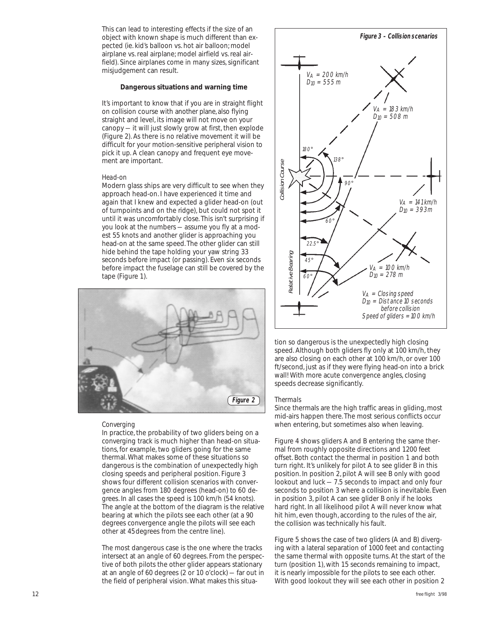This can lead to interesting effects if the size of an object with known shape is much different than expected (ie. kid's balloon vs. hot air balloon; model airplane vs. real airplane; model airfield vs. real airfield). Since airplanes come in many sizes, significant misjudgement can result.

#### **Dangerous situations and warning time**

It's important to know that if you are in straight flight on collision course with another plane, also flying straight and level, its image will not move on your canopy — it will just slowly grow at first, then explode (Figure 2). As there is no relative movement it will be difficult for your motion-sensitive peripheral vision to pick it up. A clean canopy and frequent eye movement are important.

#### *Head-on*

Modern glass ships are very difficult to see when they approach head-on. I have experienced it time and again that I knew and expected a glider head-on (out of turnpoints and on the ridge), but could not spot it until it was uncomfortably close. This isn't surprising if you look at the numbers — assume you fly at a modest 55 knots and another glider is approaching you head-on at the same speed. The other glider can still hide behind the tape holding your yaw string 33 seconds before impact (or passing). Even six seconds before impact the fuselage can still be covered by the tape (Figure 1).



#### *Converging*

In practice, the probability of two gliders being on a converging track is much higher than head-on situations, for example, two gliders going for the same thermal. What makes some of these situations so dangerous is the combination of unexpectedly high closing speeds and peripheral position. Figure 3 shows four different collision scenarios with convergence angles from 180 degrees (head-on) to 60 degrees. In all cases the speed is 100 km/h (54 knots). The angle at the bottom of the diagram is the relative bearing at which the pilots see each other (at a 90 degrees convergence angle the pilots will see each other at 45degrees from the centre line).

The most dangerous case is the one where the tracks intersect at an angle of 60 degrees. From the perspective of both pilots the other glider appears stationary at an angle of 60 degrees (2 or 10 o'clock) — far out in the field of peripheral vision. What makes this situa-



tion so dangerous is the unexpectedly high closing speed. Although both gliders fly only at 100 km/h, they are also closing on each other at 100 km/h, or over 100 ft/second, just as if they were flying head-on into a brick wall! With more acute convergence angles, closing speeds decrease significantly.

#### *Thermals*

Since thermals are the high traffic areas in gliding, most mid-airs happen there. The most serious conflicts occur when entering, but sometimes also when leaving.

Figure 4 shows gliders A and B entering the same thermal from roughly opposite directions and 1200 feet offset. Both contact the thermal in position 1 and both turn right. It's unlikely for pilot A to see glider B in this position. In position 2, pilot A will see B only with good lookout and luck — 7.5 seconds to impact and only four seconds to position 3 where a collision is inevitable. Even in position 3, pilot A can see glider B only if he looks hard right. In all likelihood pilot A will never know what hit him, even though, according to the rules of the air, the collision was technically his fault. Note they will see the they will be the see the see the see that they will go divid they are the position in the position of the position is peed of gliders = 100 km/h<br>see the before collision speed of gliders = 100 km/h<br>

Figure 5 shows the case of two gliders (A and B) diverging with a lateral separation of 1000 feet and contacting the same thermal with opposite turns. At the start of the turn (position 1), with 15 seconds remaining to impact, it is nearly impossible for the pilots to see each other.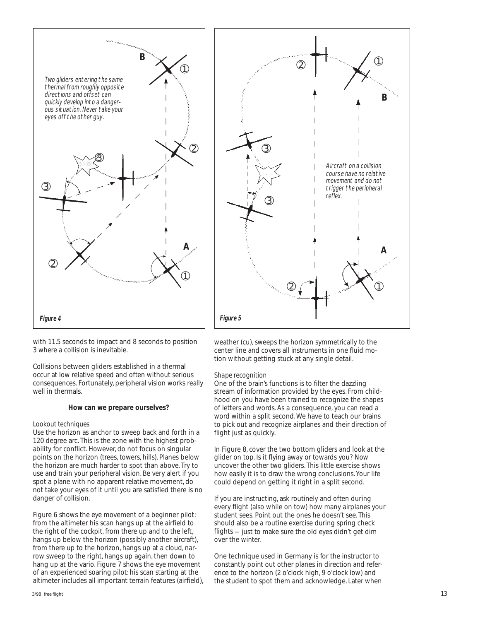

with 11.5 seconds to impact and 8 seconds to position 3 where a collision is inevitable.

Collisions between gliders established in a thermal occur at low relative speed and often without serious consequences. Fortunately, peripheral vision works really well in thermals.

#### **How can we prepare ourselves?**

#### *Lookout techniques*

Use the horizon as anchor to sweep back and forth in a 120 degree arc. This is the zone with the highest probability for conflict. However, do not focus on singular points on the horizon (trees, towers, hills). Planes below the horizon are much harder to spot than above. Try to use and train your peripheral vision. Be very alert if you spot a plane with no apparent relative movement, do not take your eyes of it until you are satisfied there is no danger of collision.

Figure 6 shows the eye movement of a beginner pilot: from the altimeter his scan hangs up at the airfield to the right of the cockpit, from there up and to the left, hangs up below the horizon (possibly another aircraft), from there up to the horizon, hangs up at a cloud, narrow sweep to the right, hangs up again, then down to hang up at the vario. Figure 7 shows the eye movement of an experienced soaring pilot: his scan starting at the altimeter includes all important terrain features (airfield),



weather (cu), sweeps the horizon symmetrically to the center line and covers all instruments in one fluid motion without getting stuck at any single detail.

#### *Shape recognition*

One of the brain's functions is to filter the dazzling stream of information provided by the eyes. From childhood on you have been trained to recognize the shapes of letters and words. As a consequence, you can read a word within a split second. We have to teach our brains to pick out and recognize airplanes and their direction of flight just as quickly.

In Figure 8, cover the two bottom gliders and look at the glider on top. Is it flying away or towards you? Now uncover the other two gliders. This little exercise shows how easily it is to draw the wrong conclusions. Your life could depend on getting it right in a split second.

If you are instructing, ask routinely and often during every flight (also while on tow) how many airplanes your student sees. Point out the ones he doesn't see. This should also be a routine exercise during spring check flights — just to make sure the old eyes didn't get dim over the winter.

One technique used in Germany is for the instructor to constantly point out other planes in direction and reference to the horizon (2 o'clock high, 9 o'clock low) and the student to spot them and acknowledge. Later when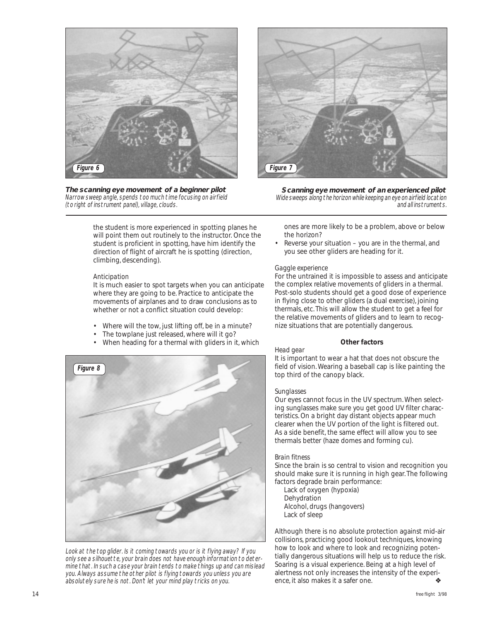

*The scanning eye movement of a beginner pilot* Narrow sweep angle, spends too much time focusing on airfield (to right of instrument panel), village, clouds.



*Scanning eye movement of an experienced pilot* Wide sweeps along the horizon while keeping an eye on airfield location and all instruments.

the student is more experienced in spotting planes he will point them out routinely to the instructor. Once the student is proficient in spotting, have him identify the direction of flight of aircraft he is spotting (direction, climbing, descending).

#### *Anticipation*

It is much easier to spot targets when you can anticipate where they are going to be. Practice to anticipate the movements of airplanes and to draw conclusions as to whether or not a conflict situation could develop:

- Where will the tow, just lifting off, be in a minute?
- The towplane just released, where will it go?
- When heading for a thermal with gliders in it, which



Look at the top glider. Is it coming towards you or is it flying away? If you only see a silhouette, your brain does not have enough information to determine that. In such a case your brain tends to make things up and can mislead you. Always assume the other pilot is flying towards you unless you are absolutely sure he is not. Don't let your mind play tricks on you.

ones are more likely to be a problem, above or below the horizon?

Reverse your situation - you are in the thermal, and you see other gliders are heading for it.

#### *Gaggle experience*

For the untrained it is impossible to assess and anticipate the complex relative movements of gliders in a thermal. Post-solo students should get a good dose of experience in flying close to other gliders (a dual exercise), joining thermals, etc. This will allow the student to get a feel for the relative movements of gliders and to learn to recognize situations that are potentially dangerous.

#### **Other factors**

#### *Head gear*

It is important to wear a hat that does not obscure the field of vision. Wearing a baseball cap is like painting the top third of the canopy black.

#### *Sunglasses*

Our eyes cannot focus in the UV spectrum. When selecting sunglasses make sure you get good UV filter characteristics. On a bright day distant objects appear much clearer when the UV portion of the light is filtered out. As a side benefit, the same effect will allow you to see thermals better (haze domes and forming cu).

#### *Brain fitness*

Since the brain is so central to vision and recognition you should make sure it is running in high gear. The following factors degrade brain performance:

 Lack of oxygen (hypoxia) Dehydration Alcohol, drugs (hangovers) Lack of sleep

Although there is no absolute protection against mid-air collisions, practicing good lookout techniques, knowing how to look and where to look and recognizing potentially dangerous situations will help us to reduce the risk. Soaring is a visual experience. Being at a high level of alertness not only increases the intensity of the experience, it also makes it a safer one.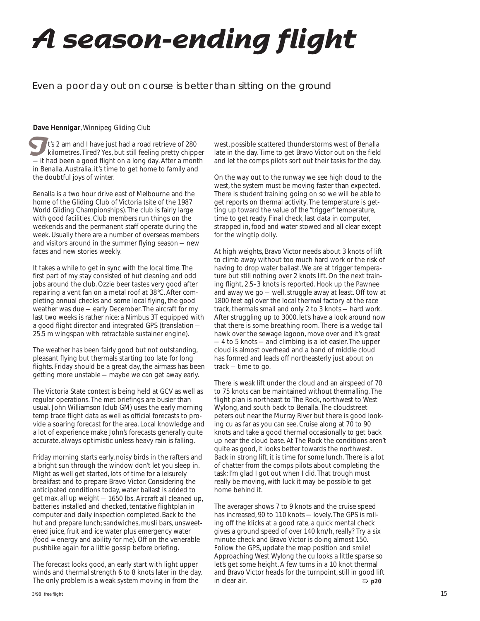# **A season-ending flight**

#### Even a poor day out on course is better than sitting on the ground

#### **Dave Hennigar**, Winnipeg Gliding Club

 t's 2 am and I have just had a road retrieve of 280 kilometres. Tired? Yes, but still feeling pretty chipper It's 2 am and I have just had a road retrieve of 280<br>kilometres. Tired? Yes, but still feeling pretty chipper<br>in thad been a good flight on a long day. After a month in Benalla, Australia, it's time to get home to family and the doubtful joys of winter.

Benalla is a two hour drive east of Melbourne and the home of the Gliding Club of Victoria (site of the 1987 World Gliding Championships). The club is fairly large with good facilities. Club members run things on the weekends and the permanent staff operate during the week. Usually there are a number of overseas members and visitors around in the summer flying season — new faces and new stories weekly.

It takes a while to get in sync with the local time. The first part of my stay consisted of hut cleaning and odd jobs around the club. Ozzie beer tastes very good after repairing a vent fan on a metal roof at 38°C. After completing annual checks and some local flying, the good weather was due — early December. The aircraft for my last two weeks is rather nice: a Nimbus 3T equipped with a good flight director and integrated GPS (translation — 25.5 m wingspan with retractable sustainer engine).

The weather has been fairly good but not outstanding, pleasant flying but thermals starting too late for long flights. Friday should be a great day, the airmass has been getting more unstable — maybe we can get away early.

The Victoria State contest is being held at GCV as well as regular operations. The met briefings are busier than usual. John Williamson (club GM) uses the early morning temp trace flight data as well as official forecasts to provide a soaring forecast for the area. Local knowledge and a lot of experience make John's forecasts generally quite accurate, always optimistic unless heavy rain is falling.

Friday morning starts early, noisy birds in the rafters and a bright sun through the window don't let you sleep in. Might as well get started, lots of time for a leisurely breakfast and to prepare Bravo Victor. Considering the anticipated conditions today, water ballast is added to get max. all up weight — 1650 lbs. Aircraft all cleaned up, batteries installed and checked, tentative flightplan in computer and daily inspection completed. Back to the hut and prepare lunch; sandwiches, musli bars, unsweetened juice, fruit and ice water plus emergency water (food = energy and ability for me). Off on the venerable pushbike again for a little gossip before briefing.

The forecast looks good, an early start with light upper winds and thermal strength 6 to 8 knots later in the day. The only problem is a weak system moving in from the

west, possible scattered thunderstorms west of Benalla late in the day. Time to get Bravo Victor out on the field and let the comps pilots sort out their tasks for the day.

On the way out to the runway we see high cloud to the west, the system must be moving faster than expected. There is student training going on so we will be able to get reports on thermal activity. The temperature is getting up toward the value of the "trigger" temperature, time to get ready. Final check, last data in computer, strapped in, food and water stowed and all clear except for the wingtip dolly.

At high weights, Bravo Victor needs about 3 knots of lift to climb away without too much hard work or the risk of having to drop water ballast. We are at trigger temperature but still nothing over 2 knots lift. On the next training flight, 2.5–3 knots is reported. Hook up the Pawnee and away we go — well, struggle away at least. Off tow at 1800 feet agl over the local thermal factory at the race track, thermals small and only 2 to 3 knots — hard work. After struggling up to 3000, let's have a look around now that there is some breathing room. There is a wedge tail hawk over the sewage lagoon, move over and it's great — 4 to 5 knots — and climbing is a lot easier. The upper cloud is almost overhead and a band of middle cloud has formed and leads off northeasterly just about on track — time to go.

There is weak lift under the cloud and an airspeed of 70 to 75 knots can be maintained without thermalling. The flight plan is northeast to The Rock, northwest to West Wylong, and south back to Benalla. The cloudstreet peters out near the Murray River but there is good looking cu as far as you can see. Cruise along at 70 to 90 knots and take a good thermal occasionally to get back up near the cloud base. At The Rock the conditions aren't quite as good, it looks better towards the northwest. Back in strong lift, it is time for some lunch. There is a lot of chatter from the comps pilots about completing the task; I'm glad I got out when I did. That trough must really be moving, with luck it may be possible to get home behind it.

The averager shows 7 to 9 knots and the cruise speed has increased, 90 to 110 knots — lovely. The GPS is rolling off the klicks at a good rate, a quick mental check gives a ground speed of over 140 km/h, really? Try a six minute check and Bravo Victor is doing almost 150. Follow the GPS, update the map position and smile! Approaching West Wylong the cu looks a little sparse so let's get some height. A few turns in a 10 knot thermal and Bravo Victor heads for the turnpoint, still in good lift in clear air. ➯ **p20**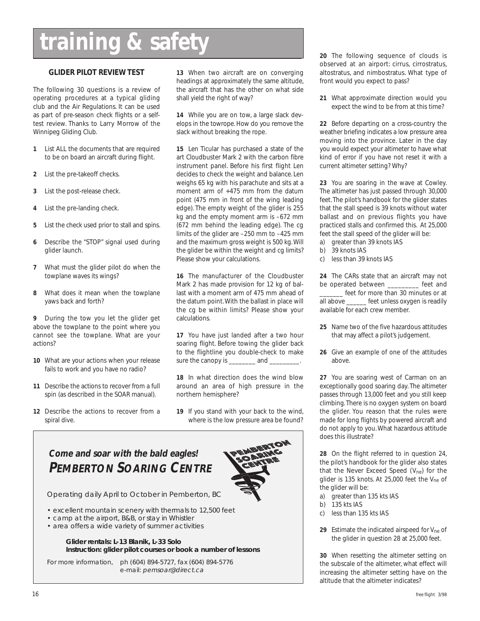# **training & safety**

#### **GLIDER PILOT REVIEW TEST**

The following 30 questions is a review of operating procedures at a typical gliding club and the Air Regulations. It can be used as part of pre-season check flights or a selftest review. Thanks to Larry Morrow of the Winnipeg Gliding Club.

- **1** List ALL the documents that are required to be on board an aircraft during flight.
- **2** List the pre-takeoff checks.
- **3** List the post-release check.
- **4** List the pre-landing check.
- **5** List the check used prior to stall and spins.
- **6** Describe the "STOP" signal used during glider launch.
- **7** What must the glider pilot do when the towplane waves its wings?
- **8** What does it mean when the towplane yaws back and forth?

**9** During the tow you let the glider get above the towplane to the point where you cannot see the towplane. What are your actions?

- **10** What are your actions when your release fails to work and you have no radio?
- **11** Describe the actions to recover from a full spin (as described in the SOAR manual).
- **12** Describe the actions to recover from a spiral dive.

**13** When two aircraft are on converging headings at approximately the same altitude, the aircraft that has the other on what side shall yield the right of way?

**14** While you are on tow, a large slack develops in the towrope. How do you remove the slack without breaking the rope.

**15** Len Ticular has purchased a state of the art Cloudbuster Mark 2 with the carbon fibre instrument panel. Before his first flight Len decides to check the weight and balance. Len weighs 65 kg with his parachute and sits at a moment arm of +475 mm from the datum point (475 mm in front of the wing leading edge). The empty weight of the glider is 255 kg and the empty moment arm is –672 mm (672 mm behind the leading edge). The cg limits of the glider are –250 mm to –425 mm and the maximum gross weight is 500 kg. Will the glider be within the weight and cg limits? Please show your calculations.

**16** The manufacturer of the Cloudbuster Mark 2 has made provision for 12 kg of ballast with a moment arm of 475 mm ahead of the datum point. With the ballast in place will the cg be within limits? Please show your calculations.

**17** You have just landed after a two hour soaring flight. Before towing the glider back to the flightline you double-check to make sure the canopy is \_\_\_\_\_\_\_\_ and \_\_\_\_\_\_\_\_\_.

**18** In what direction does the wind blow around an area of high pressure in the northern hemisphere?

**19** If you stand with your back to the wind, where is the low pressure area be found?

### **Come and soar with the bald eagles! PEMBERTON SOARING CENTRE**

Operating daily April to October in Pemberton, BC

- excellent mountain scenery with thermals to 12,500 feet
- camp at the airport, B&B, or stay in Whistler
- area offers a wide variety of summer activities

#### **Glider rentals: L-13 Blanik, L-33 Solo Instruction: glider pilot courses or book a number of lessons**

For more information, ph (604) 894-5727, fax (604) 894-5776 e-mail: pemsoar@direct.ca

**20** The following sequence of clouds is observed at an airport: cirrus, cirrostratus, altostratus, and nimbostratus. What type of front would you expect to pass?

**21** What approximate direction would you expect the wind to be from at this time?

**22** Before departing on a cross-country the weather briefing indicates a low pressure area moving into the province. Later in the day you would expect your altimeter to have what kind of error if you have not reset it with a current altimeter setting? Why?

**23** You are soaring in the wave at Cowley. The altimeter has just passed through 30,000 feet. The pilot's handbook for the glider states that the stall speed is 39 knots without water ballast and on previous flights you have practiced stalls and confirmed this. At 25,000 feet the stall speed of the glider will be:

- a) greater than 39 knots IAS
- b) 39 knots IAS
- c) less than 39 knots IAS

**24** The CARs state that an aircraft may not be operated between \_\_\_\_\_\_\_\_\_ feet and \_\_\_\_\_\_\_ feet for more than 30 minutes or at all above \_\_\_\_\_\_ feet unless oxygen is readily available for each crew member.

- **25** Name two of the five hazardous attitudes that may affect a pilot's judgement.
- **26** Give an example of one of the attitudes above.

**27** You are soaring west of Carman on an exceptionally good soaring day. The altimeter passes through 13,000 feet and you still keep climbing. There is no oxygen system on board the glider. You reason that the rules were made for long flights by powered aircraft and do not apply to you. What hazardous attitude does this illustrate?

**28** On the flight referred to in question 24, the pilot's handbook for the glider also states that the Never Exceed Speed (V<sub>ne</sub>) for the glider is 135 knots. At 25,000 feet the V<sub>ne</sub> of the glider will be:

- a) greater than 135 kts IAS
- b) 135 kts IAS
- c) less than 135 kts IAS
- **29** Estimate the indicated airspeed for Vne of the glider in question 28 at 25,000 feet.

**30** When resetting the altimeter setting on the subscale of the altimeter, what effect will increasing the altimeter setting have on the altitude that the altimeter indicates?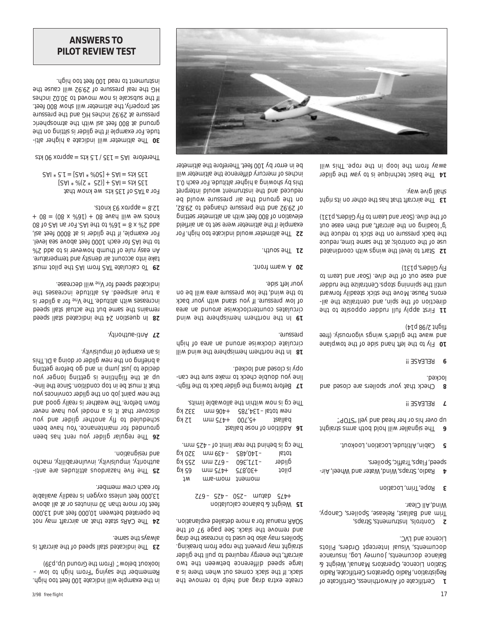in the example will indicate 100 feet too high. Remember the saying "From high to low – lookout below" (From the Ground Up, p39)

The indicated stall speed of the aircraft is **23** ams shi zyswls.

The CARs state that an aircraft may not **<sup>24</sup>** be operated between 10,000 feet and 13,000 feet for more than 30 minutes or at all above 13,000 feet unless oxygen is readily available for each crew member.

The five hazardous attitudes are anti- **25** authority, impulsivity, invulnerability, macho and resignation.

The regular glider you rent has been **26** grounded for maintenance. You have been scheduled to fly another glider and you discover that it is a model you have never flown before. The weather is really good and the new paint job on the glider convinces you that it must be in top condition. Since the lineup at the flightline is getting longer you decide to just jump in and go before getting a briefing on the new glider or doing a DI. This is an example of impulsivity.

Anti-authority. **<sup>27</sup>**

In question 24 the indicated stall speed **28** remains the same but the actual stall speed increases with altitude. The V<sub>ne</sub> for a glider is a true airspeed. As altitude increases the indicated speed for V<sub>ne</sub> will decrease.

To calculate TAS from IAS the pilot must **29** take into account air density and temperature. An easy rule of thumb however is to add 2% to the IAS for each 1000 feet above sea level. For example, if the glider is at 8000 feet asl, 08 to  $2A1$  ns  $10-7$ .  $2A1$   $5A1$  of  $30$   $1 = 8$  x  $82$  bbs  $k + 08 = (08 \times \sqrt{8}0) + 08$  every lliw ew story . approx 93 knots.

For a TAS of 135 kts we know that  $[241 * \sqrt{25} * 35] + 241 = 214355$  $2A1 * 3.1 = [2A1 * 800] + 2A1 = 21A 351$ 

Therefore  $125 + 135$  / 1.5 kts = approx 90 kts

The altimeter will indicate a higher alti- **30** tude. For example if the glider is sitting on the ground at 800 feet asl with the atmospheric pressure at 29.92 inches HG and the pressure set properly, the altimeter will show 800 feet. If the subscale is now moved to 30.02 inches HG the real pressure of 29.92 will cause the instrument to read 100 feet too high.

*ANSWERS TO PILOT REVIEW TEST*

> create extra drag and help to remove the slack. If the slack comes out when there is a large speed difference between the two aircraft, the energy required to pull the glider straight may prevent the rope from breaking. Spoilers may also be used to increase the drag and remove the slack. See page 97 of the SOAR manual for a more detailed explanation.

Weight & balance calculation **<sup>15</sup>**  $ZL9 - 970 - 072 - 075$  –  $970 + 075$ 

|        |                  |             | The cg is behind the rear limit of -425 mm. |
|--------|------------------|-------------|---------------------------------------------|
| 320 kg |                  | հ8բ∖0բլ–    | <b>Istot</b>                                |
| 522 KQ | $mu$ $ZL9-$      | $09E'L/L -$ | glider                                      |
| 65 KQ  | $U \cup G / b +$ | 4.30's19    | toliq                                       |
| ļΜ     | mom-arm          | moment      |                                             |
|        |                  |             |                                             |

Addition of nose ballast **16**  $p \times 5$  mm  $35 + 00$ ,  $35 + 00$ 1631 kg *+406 mm* 332 kg The cg is now within the allowable limits.

Before towing the glider back to the fligh- **17** line you double check to make sure the canopy is closed and locked.

Iliw buiw edt endigimed mention will circulate clockwise around an area of high pressure.

In the northern hemisphere the wind circulates counterclockwise around an area of low pressure. If you stand with your back to the wind, the low pressure area will be on your left side.

A warm front. **20**

The south. **21**

The altimeter would indicate too high. For **22** example if the altimeter were set to an airfield elevation of 800 feet with an altimeter setting of 29.92 and the pressure changed to 29.82, on the ground the air pressure would be reduced and the instrument would interpret this by showing a higher altitude. For each 0.1 inches of mercury difference the altimeter will be in error by 100 feet. Therefore the altimeter

> Certificate of Airworthiness, Certificate of **1** Registration, Radio Operators Certificate, Radio Station Licence, Operators Manual, Weight & Balance documents, Journey Log, Insurance documents, Visual Intercept Orders, Pilots Licence and LVC.

> Controls, Instruments, Straps, **2** Trim and Ballast, Release, Spoilers, Canopy, Wind, All Clear.

Rope, Trim, Location **3**

Radio, Straps, Wind, Water and Wheel, Air- **4** speed, Flaps, Traffic, Spoilers.

Cabin, Altitude, Location, Lookout. **5**

The signaller will hold both arms straight **<sup>6</sup>** up over his or her head and yell "STOP".

RELEASE !! **7**

Check that your spoilers are closed and **8** locked.

**9** RELEASE !!

**hand side of the towplane side of the towplane** and wave the glider's wings vigorously. (free *flight 2/98 p14)*

First apply full rudder opposite to the **11** direction of the spin, and centralize the ailerons. Pause. Move the stick steadily forward until the spinning stops. Centralize the rudder and ease out of the dive. (Soar and Learn to *Fly Gliders, p131)*

Start to level the wings with coordinated **12** use of the controls; at the same time, reduce the back pressure on the stick to reduce the 'g' loading on the aircraft, and then ease out of the dive. *(Soar and Learn to Fly Gliders, p131)* 

The aircraft that has the other on its right **13** shall give way.

14 The basic technique is to yaw the glider away from the loop in the rope. This will

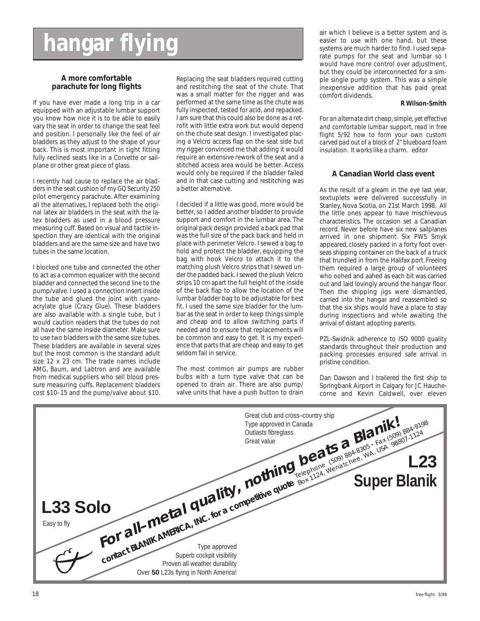# **hangar flying**

#### **A more comfortable parachute for long flights**

If you have ever made a long trip in a car equipped with an adjustable lumbar support you know how nice it is to be able to easily vary the seat in order to change the seat feel and position. I personally like the feel of air bladders as they adjust to the shape of your back. This is most important in tight fitting fully reclined seats like in a Corvette or sailplane or other great piece of glass.

I recently had cause to replace the air bladders in the seat cushion of my *GQ Security 250* pilot emergency parachute. After examining all the alternatives, I replaced both the original latex air bladders in the seat with the latex bladders as used in a blood pressure measuring cuff. Based on visual and tactile inspection they are identical with the original bladders and are the same size and have two tubes in the same location.

I blocked one tube and connected the other to act as a common equalizer with the second bladder and connected the second line to the pump/valve. I used a connection insert inside the tube and glued the joint with cyanoacrylate glue *(Crazy Glue).* These bladders are also available with a single tube, but I would caution readers that the tubes do not all have the same inside diameter. Make sure to use two bladders with the same size tubes. These bladders are available in several sizes but the most common is the standard adult size 12 x 23 cm. The trade names include *AMG*, *Baum*, and *Labtron* and are available from medical suppliers who sell blood pressure measuring cuffs. Replacement bladders cost \$10–15 and the pump/valve about \$10.

Replacing the seat bladders required cutting and restitching the seat of the chute. That was a small matter for the rigger and was performed at the same time as the chute was fully inspected, tested for acid, and repacked. I am sure that this could also be done as a retrofit with little extra work but would depend on the chute seat design. I investigated placing a Velcro access flap on the seat side but my rigger convinced me that adding it would require an extensive rework of the seat and a stitched access area would be better. Access would only be required if the bladder failed and in that case cutting and restitching was a better alternative.

I decided if a little was good, more would be better, so I added another bladder to provide support and comfort in the lumbar area. The original pack design provided a back pad that was the full size of the pack back and held in place with perimeter Velcro. I sewed a bag to hold and protect the bladder, equipping the bag with hook Velcro to attach it to the matching plush Velcro strips that I sewed under the padded back. I sewed the plush Velcro strips 10 cm apart the full height of the inside of the back flap to allow the location of the lumbar bladder bag to be adjustable for best fit. I used the same size bladder for the lumbar as the seat in order to keep things simple and cheap and to allow switching parts if needed and to ensure that replacements will be common and easy to get. It is my experience that parts that are cheap and easy to get seldom fail in service.

The most common air pumps are rubber bulbs with a turn type valve that can be opened to drain air. There are also pump/ valve units that have a push button to drain

air which I believe is a better system and is easier to use with one hand, but these systems are much harder to find. I used separate pumps for the seat and lumbar so I would have more control over adjustment, but they could be interconnected for a simple single pump system. This was a simple inexpensive addition that has paid great comfort dividends.

#### **R Wilson-Smith**

*For an alternate dirt cheap, simple, yet effective and comfortable lumbar support, read in free flight 5/92 how to form your own custom carved pad out of a block of 2" blueboard foam insulation. It works like a charm. editor*

#### **A Canadian World class event**

As the result of a gleam in the eye last year, sextuplets were delivered successfully in Stanley, Nova Scotia, on 21st March 1998. All the little ones appear to have mischievous characteristics. The occasion set a Canadian record. Never before have six new sailplanes arrived in one shipment. Six PW5 Smyk appeared, closely packed in a forty foot overseas shipping container on the back of a truck that trundled in from the Halifax port. Freeing them required a large group of volunteers who oohed and aahed as each bit was carried out and laid lovingly around the hangar floor. Then the shipping jigs were dismantled, carried into the hangar and reassembled so that the six ships would have a place to stay during inspections and while awaiting the arrival of distant adopting parents.

PZL-Swidnik adherence to ISO 9000 quality standards throughout their production and packing processes ensured safe arrival in pristine condition.

Dan Dawson and I trailered the first ship to Springbank Airport in Calgary for JC Hauchecorne and Kevin Caldwell, over eleven

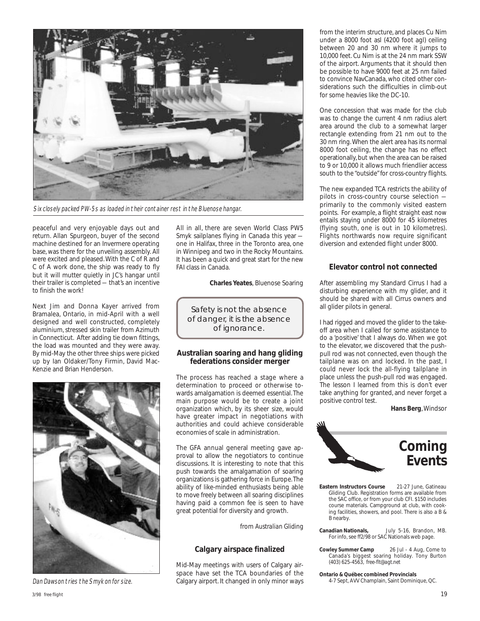

Six closely packed PW-5s as loaded in their container rest in the Bluenose hangar.

peaceful and very enjoyable days out and return. Allan Spurgeon, buyer of the second machine destined for an Invermere operating base, was there for the unveiling assembly. All were excited and pleased. With the C of R and C of A work done, the ship was ready to fly but it will mutter quietly in JC's hangar until their trailer is completed — that's an incentive to finish the work!

Next Jim and Donna Kayer arrived from Bramalea, Ontario, in mid-April with a well designed and well constructed, completely aluminium, stressed skin trailer from Azimuth in Connecticut. After adding tie down fittings, the load was mounted and they were away. By mid-May the other three ships were picked up by Ian Oldaker/Tony Firmin, David Mac-Kenzie and Brian Henderson.



Dan Dawson tries the Smyk on for size.

All in all, there are seven World Class PW5 Smyk sailplanes flying in Canada this year one in Halifax, three in the Toronto area, one in Winnipeg and two in the Rocky Mountains. It has been a quick and great start for the new FAI class in Canada.

**Charles Yeates**, Bluenose Soaring

Safety is not the absence of danger, it is the absence of ignorance.

#### **Australian soaring and hang gliding federations consider merger**

The process has reached a stage where a determination to proceed or otherwise towards amalgamation is deemed essential. The main purpose would be to create a joint organization which, by its sheer size, would have greater impact in negotiations with authorities and could achieve considerable economies of scale in administration.

The GFA annual general meeting gave approval to allow the negotiators to continue discussions. It is interesting to note that this push towards the amalgamation of soaring organizations is gathering force in Europe. The ability of like-minded enthusiasts being able to move freely between all soaring disciplines having paid a common fee is seen to have great potential for diversity and growth.

from *Australian Gliding*

#### **Calgary airspace finalized**

Mid-May meetings with users of Calgary airspace have set the TCA boundaries of the Calgary airport. It changed in only minor ways from the interim structure, and places Cu Nim under a 8000 foot asl (4200 foot agl) ceiling between 20 and 30 nm where it jumps to 10,000 feet. Cu Nim is at the 24 nm mark SSW of the airport. Arguments that it should then be possible to have 9000 feet at 25 nm failed to convince NavCanada, who cited other considerations such the difficulties in climb-out for some heavies like the DC-10.

One concession that was made for the club was to change the current 4 nm radius alert area around the club to a somewhat larger rectangle extending from 21 nm out to the 30 nm ring. When the alert area has its normal 8000 foot ceiling, the change has no effect operationally, but when the area can be raised to 9 or 10,000 it allows much friendlier access south to the "outside" for cross-country flights.

The new expanded TCA restricts the ability of pilots in cross-country course selection primarily to the commonly visited eastern points. For example, a flight straight east now entails staying under 8000 for 45 kilometres (flying south, one is out in 10 kilometres). Flights northwards now require significant diversion and extended flight under 8000.

#### **Elevator control not connected**

After assembling my Standard Cirrus I had a disturbing experience with my glider, and it should be shared with all Cirrus owners and all glider pilots in general.

I had rigged and moved the glider to the takeoff area when I called for some assistance to do a 'positive' that I always do. When we got to the elevator, we discovered that the pushpull rod was not connected, even though the tailplane was on and locked. In the past, I could never lock the all-flying tailplane in place unless the push-pull rod was engaged. The lesson I learned from this is don't ever take anything for granted, and never forget a positive control test.

**Hans Berg**, Windsor



- **Eastern Instructors Course** 21-27 June, Gatineau Gliding Club. Registration forms are available from the SAC office, or from your club CFI. \$150 includes course materials. Campground at club, with cooking facilities, showers, and pool. There is also a B & B nearby.
- **Canadian Nationals,** July 5-16, Brandon, MB. For info, see *ff2/98* or SAC Nationals web page.
- **Cowley Summer Camp** 26 Jul 4 Aug, Come to Canada's biggest soaring holiday. Tony Burton (403) 625-4563, *free-flt@agt.net*

**Ontario & Québec combined Provincials** 4-7 Sept, AVV Champlain, Saint Dominique, QC.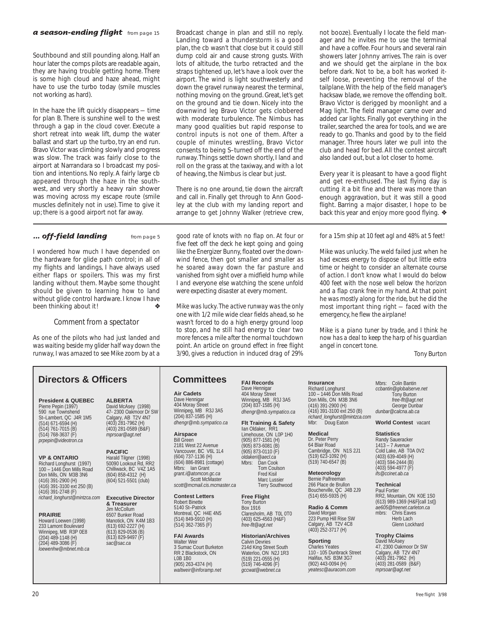#### **a season-ending flight** from page 15

Southbound and still pounding along. Half an hour later the comps pilots are readable again, they are having trouble getting home. There is some high cloud and haze ahead, might have to use the turbo today (smile muscles not working as hard).

In the haze the lift quickly disappears — time for plan B. There is sunshine well to the west through a gap in the cloud cover. Execute a short retreat into weak lift, dump the water ballast and start up the turbo, try an end run. Bravo Victor was climbing slowly and progress was slow. The track was fairly close to the airport at Narrandara so I broadcast my position and intentions. No reply. A fairly large cb appeared through the haze in the southwest, and very shortly a heavy rain shower was moving across my escape route (smile muscles definitely not in use). Time to give it up; there is a good airport not far away.

I wondered how much I have depended on the hardware for glide path control; in all of my flights and landings, I have always used either flaps or spoilers. This was my first landing without them. Maybe some thought should be given to learning how to land without glide control hardware. I know I have been thinking about it!

*Comment from a spectator*

*As one of the pilots who had just landed and was waiting beside my glider half way down the runway, I was amazed to see Mike zoom by at a*

#### **Directors & Officers FAI Records COMMITTED FAI Records**

**President & QUEBEC** Pierre Pepin (1997) 590 rue Townshend St–Lambert, QC J4R 1M5 (514) 671-6594 (H) (514) 761-7015 (B) (514) 768-3637 (F) *prpepin@videotron.ca*

**VP & ONTARIO** Richard Longhurst (1997) 100 – 1446 Don Mills Road Don Mills, ON M3B 3N6 (416) 391-2900 (H) (416) 391-3100 ext 250 (B) (416) 391-2748 (F) *richard\_longhurst@mintzca.com*

#### **PRAIRIE**

Howard Loewen (1998) 233 Lamont Boulevard Winnipeg, MB R3P 0E8 (204) 489-1148 (H) (204) 489-3086 (F) *loewenhw@mbnet.mb.ca*

**ALBERTA** David McAsey (1998) 47- 2300 Oakmoor Dr SW Calgary, AB T2V 4N7 (403) 281-7962 (H) (403) 281-0589 (B&F) *mprsoar@agt.net*

**PACIFIC** Harald Tilgner (1998) 50090 Lookout Rd, RR2 Chilliwack, BC V4Z 1A5 (604) 858-4312 (H) (604) 521-5501 (club)

**Executive Director & Treasurer** Jim McCollum 6507 Bunker Road Manotick, ON K4M 1B3 (613) 692-2227 (H) (613) 829-0536 (B) (613) 829-9497 (F) *sac@sac.ca*

Broadcast change in plan and still no reply. Landing toward a thunderstorm is a good plan, the cb wasn't that close but it could still dump cold air and cause strong gusts. With lots of altitude, the turbo retracted and the straps tightened up, let's have a look over the airport. The wind is light southwesterly and down the gravel runway nearest the terminal, nothing moving on the ground. Great, let's get on the ground and tie down. Nicely into the downwind leg Bravo Victor gets clobbered with moderate turbulence. The Nimbus has many good qualities but rapid response to control inputs is not one of them. After a couple of minutes wrestling, Bravo Victor consents to being S–turned off the end of the runway. Things settle down shortly, I land and roll on the grass at the taxiway, and with a lot of heaving, the Nimbus is clear but just.

There is no one around, tie down the aircraft and call in. Finally get through to Ann Goodley at the club with my landing report and arrange to get Johnny Walker (retrieve crew,

**... off-field landing** from page 5 *good rate of knots with no flap on. At four or five feet off the deck he kept going and going like the Energizer Bunny, floated over the downwind fence, then got smaller and smaller as he soared away down the far pasture and vanished from sight over a midfield hump while I and everyone else watching the scene unfold were expecting disaster at every moment.*

> *Mike was lucky. The active runway was the only one with 1/2 mile wide clear fields ahead, so he wasn't forced to do a high energy ground loop to stop, and he still had energy to clear two more fences a mile after the normal touchdown point. An article on ground effect in free flight 3/90, gives a reduction in induced drag of 29%*

#### **Committees**

**Air Cadets** Dave Hennigar 404 Moray Street

Winnipeg, MB R3J 3A5 (204) 837-1585 (H) *dhengr@mb.sympatico.ca* **Airspace** Bill Green

2181 West 22 Avenue Vancouver, BC V6L 1L4 (604) 737-1136 (H) (604) 886-8981 (cottage) lan Grant *grant.i@atomcon.gc.ca* Scott McMaster *scott@mcmail.cis.mcmaster.ca*

**Contest Letters** Robert Binette 5140 St–Patrick Montreal, QC H4E 4N5 (514) 849-5910 (H) (514) 362-7365 (F)

**FAI Awards** Walter Weir 3 Sumac Court Burketon RR 2 Blackstock, ON L0B 1B0 (905) 263-4374 (H) *waltweir@inforamp.net*

Dave Hennigar 404 Moray Street Winnipeg, MB R3J 3A5 (204) 837-1585 (H) *dhengr@mb.sympatico.ca* **Insurance** Richard Longhurst

**Medical** Dr. Peter Perry 64 Blair Road Cambridge, ON N1S 2J1 (519) 623-1092 (H)  $(519)$  740-6547 (B) **Meteorology** Bernie Palfreeman 266 Place de Brullon Boucherville, QC J4B 2J9 (514) 655-5935 (H) **Radio & Comm** David Morgan 223 Pump Hill Rise SW Calgary, AB T2V 4C8 (403) 252-3717 (H)

**Sporting** Charles Yeates 110 - 105 Dunbrack Street Halifax, NS B3M 3G7 (902) 443-0094 (H) *yeatesc@auracom.com*

(416) 391-2900 (H)

Doug Eaton

**Flt Training & Safety** Ian Oldaker, RR1

Limehouse, ON L0P 1H0 (905) 877-1581 (H) (905) 873-6081 (B) (905) 873-0110 (F) *oldakeri@aecl.ca* Mbrs: Dan Cook Tom Coulson Fred Kisil Marc Lussier Terry Southwood

**Free Flight** Tony Burton Box 1916 Claresholm, AB T0L 0T0 (403) 625-4563 (H&F) *free-flt@agt.net*

**Historian/Archives** Calvin Devries 214d King Street South Waterloo, ON N2J 1R3 (519) 221-0555 (H) (519) 746-4096 (F) *gccwat@webnet.ca*

not booze). Eventually I locate the field manager and he invites me to use the terminal and have a coffee. Four hours and several rain showers later Johnny arrives. The rain is over and we should get the airplane in the box before dark. Not to be, a bolt has worked itself loose, preventing the removal of the tailplane. With the help of the field manager's hacksaw blade, we remove the offending bolt. Bravo Victor is derigged by moonlight and a Mag light. The field manager came over and added car lights. Finally got everything in the trailer, searched the area for tools, and we are ready to go. Thanks and good by to the field manager. Three hours later we pull into the club and head for bed. All the contest aircraft also landed out, but a lot closer to home.

Every year it is pleasant to have a good flight and get re-enthused. The last flying day is cutting it a bit fine and there was more than enough aggravation, but it was still a good flight. Barring a major disaster, I hope to be back this year and enjoy more good flying. ❖

*for a 15m ship at 10 feet agl and 48% at 5 feet!*

*Mike was unlucky. The weld failed just when he had excess energy to dispose of but little extra time or height to consider an alternate course of action. I don't know what I would do below 400 feet with the nose well below the horizon and a flap crank free in my hand. At that point he was mostly along for the ride, but he did the most important thing right — faced with the emergency, he flew the airplane!*

*Mike is a piano tuner by trade, and I think he now has a deal to keep the harp of his guardian angel in concert tone.*

*Tony Burton*

100 – 1446 Don Mills Road Don Mills, ON M3B 3N6 (416) 391-3100 ext 250 (B) *richard\_longhurst@mintzca.com* Mbrs: Colin Bantin *ccbantin@globalserve.net* Tony Burton *free-flt@agt.net* George Dunbar *dunbar@calcna.ab.ca*

**World Contest** vacant

**Statistics**

Randy Saueracker 1413 – 7 Avenue Cold Lake, AB T0A 0V2 (403) 639-4049 (H) (403) 594-2444 (B) (403) 594-4977 (F) *ifs@ccinet.ab.ca*

**Technical** Paul Fortier

RR2, Mountain, ON K0E 1S0 (613) 989-1369 (H&F[call 1st]) *ae605@freenet.carleton.ca* Chris Eaves Herb Lach Glenn Lockhard

**Trophy Claims** David McAsey 47, 2300 Oakmoor Dr SW Calgary, AB T2V 4N7 (403) 281-7962 (H) (403) 281-0589 (B&F) *mprsoar@agt.net*

20 free flight 3/98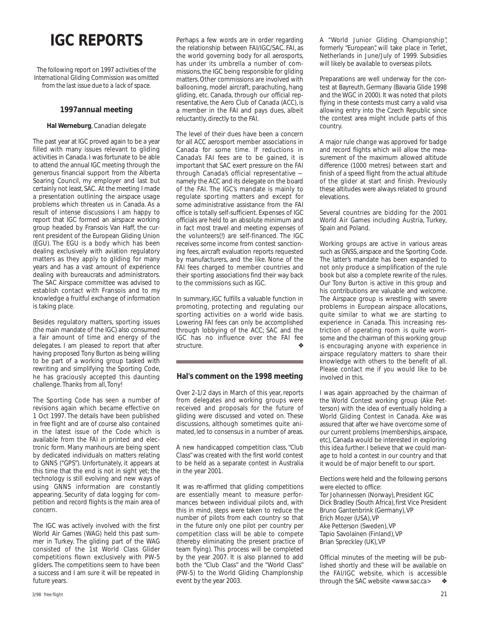## **IGC REPORTS**

*The following report on 1997 activities of the International Gliding Commission was omitted from the last issue due to a lack of space.*

#### **1997annual meeting**

#### **Hal Werneburg**, Canadian delegate

The past year at IGC proved again to be a year filled with many issues relevant to gliding activities in Canada. I was fortunate to be able to attend the annual IGC meeting through the generous financial support from the Alberta Soaring Council, my employer and last but certainly not least, SAC. At the meeting I made a presentation outlining the airspace usage problems which threaten us in Canada. As a result of intense discussions I am happy to report that IGC formed an airspace working group headed by Fransois Van Haff, the current president of the European Gliding Union (EGU). The EGU is a body which has been dealing exclusively with aviation regulatory matters as they apply to gliding for many years and has a vast amount of experience dealing with bureaucrats and administrators. The SAC Airspace committee was advised to establish contact with Fransois and to my knowledge a fruitful exchange of information is taking place.

Besides regulatory matters, sporting issues (the main mandate of the IGC) also consumed a fair amount of time and energy of the delegates. I am pleased to report that after having proposed Tony Burton as being willing to be part of a working group tasked with rewriting and simplifying the Sporting Code, he has graciously accepted this daunting challenge. Thanks from all, Tony!

The Sporting Code has seen a number of revisions again which became effective on 1 Oct 1997. The details have been published in *free flight* and are of course also contained in the latest issue of the Code which is available from the FAI in printed and electronic form. Many manhours are being spent by dedicated individuals on matters relating to GNNS ("GPS"). Unfortunately, it appears at this time that the end is not in sight yet; the technology is still evolving and new ways of using GNNS information are constantly appearing. Security of data logging for competition and record flights is the main area of concern.

The IGC was actively involved with the first World Air Games (WAG) held this past summer in Turkey. The gliding part of the WAG consisted of the 1st World Class Glider competitions flown exclusively with PW-5 gliders. The competitions seem to have been a success and I am sure it will be repeated in future years.

The level of their dues have been a concern for all ACC aerosport member associations in Canada for some time. If reductions in Canada's FAI fees are to be gained, it is important that SAC exert pressure on the FAI through Canada's official representative namely the ACC and its delegate on the board of the FAI. The IGC's mandate is mainly to regulate sporting matters and except for some administrative assistance from the FAI office is totally self-sufficient. Expenses of IGC officials are held to an absolute minimum and in fact most travel and meeting expenses of the volunteers(!) are self-financed. The IGC receives some income from contest sanctioning fees, aircraft evaluation reports requested by manufacturers, and the like. None of the FAI fees charged to member countries and their sporting associations find their way back to the commissions such as IGC.

In summary, IGC fulfills a valuable function in promoting, protecting and regulating our sporting activities on a world wide basis. Lowering FAI fees can only be accomplished through lobbying of the ACC; SAC and the IGC has no influence over the FAI fee structure.

#### **Hal's comment on the 1998 meeting**

Over 2-1/2 days in March of this year, reports from delegates and working groups were received and proposals for the future of gliding were discussed and voted on. These discussions, although sometimes quite animated, led to consensus in a number of areas.

A new handicapped competition class, "Club Class" was created with the first world contest to be held as a separate contest in Australia in the year 2001.

It was re-affirmed that gliding competitions are essentially meant to measure performances between individual pilots and, with this in mind, steps were taken to reduce the number of pilots from each country so that in the future only one pilot per country per competition class will be able to compete (thereby eliminating the present practice of team flying). This process will be completed by the year 2007. It is also planned to add both the "Club Class" and the "World Class" (PW-5) to the World Gliding Champlonship event by the year 2003.

A "World Junior Gliding Championship", formerly "European", will take place in Terlet, Netherlands in June/July of 1999. Subsidies will likely be available to overseas pilots.

Preparations are well underway for the contest at Bayreuth, Germany (Bavaria Glide 1998 and the WGC in 2000). It was noted that pilots flying in these contests must carry a valid visa allowing entry into the Czech Republic since the contest area might include parts of this country.

A major rule change was approved for badge and record flights which will allow the measurement of the maximum allowed altitude difference (1000 metres) between start and finish of a speed flight from the actual altitude of the glider at start and finish. Previously these altitudes were always related to ground elevations.

Several countries are bidding for the 2001 World Air Games including Austria, Turkey, Spain and Poland.

Working groups are active in various areas such as GNSS, airspace and the Sporting Code. The latter's mandate has been expanded to not only produce a simplification of the rule book but also a complete rewrite of the rules. Our Tony Burton is active in this group and his contributions are valuable and welcome. The Airspace group is wrestling with severe problems in European airspace allocations, quite similar to what we are starting to experience in Canada. This increasing restriction of operating room is quite worrisome and the chairman of this working group is encouraging anyone with experience in airspace regulatory matters to share their knowledge with others to the benefit of all. Please contact me if you would like to be involved in this.

I was again approached by the chairman of the World Contest working group (Ake Petterson) with the idea of eventually holding a World Gliding Contest in Canada. Ake was assured that after we have overcome some of our current problems (memberships, airspace, etc), Canada would be interested in exploring this idea further. I believe that we could manage to hold a contest in our country and that it would be of major benefit to our sport.

Elections were held and the following persons were elected to office:

Tor Johannessen (Norway), President IGC Dick Bradley (South Africa), first Vice President Bruno Gantenbrink (Germany), VP Erich Mozer (USA), VP Ake Petterson (Sweden), VP Tapio Savolainen (Finland), VP Brian Spreckley (UK), VP

Official minutes of the meeting will be published shortly and these will be available on the FAI/IGC website, which is accessible through the SAC website *<www.sac.ca>* ❖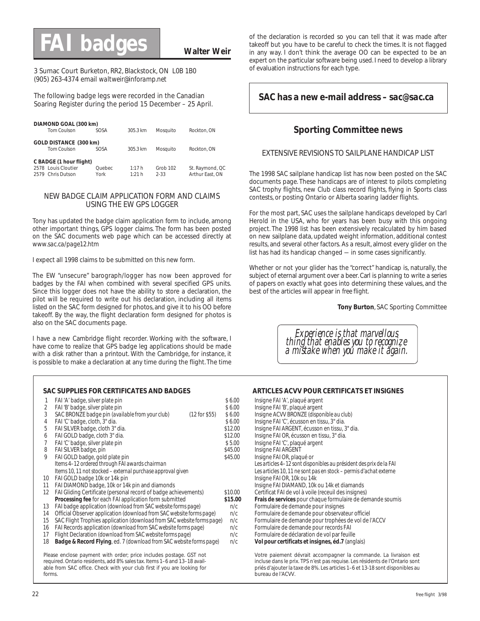## **FAI badges**

#### **Walter Weir**

3 Sumac Court Burketon, RR2, Blackstock, ON L0B 1B0 (905) 263-4374 email *waltweir@inforamp.net*

The following badge legs were recorded in the Canadian Soaring Register during the period 15 December – 25 April.

| DIAMOND GOAL (300 km)<br>Tom Coulson           | <b>SOSA</b> | 305.3 km | Mosauito | Rockton, ON     |
|------------------------------------------------|-------------|----------|----------|-----------------|
| GOLD DISTANCE (300 km)<br>Tom Coulson          | <b>SOSA</b> | 305.3 km | Mosauito | Rockton, ON     |
| C BADGE (1 hour flight)<br>2578 Louis Cloutier | Quebec      | 1:17h    | Grob 102 | St. Raymond, QC |
| 2579 Chris Dutson                              | York        | 1:21 h   | $2 - 33$ | Arthur East, ON |

#### NEW BADGE CLAIM APPLICATION FORM AND CLAIMS USING THE EW GPS LOGGER

Tony has updated the badge claim application form to include, among other important things, GPS logger claims. The form has been posted on the SAC documents web page which can be accessed directly at *www.sac.ca/page12.htm*

I expect all 1998 claims to be submitted on this new form.

The EW "unsecure" barograph/logger has now been approved for badges by the FAI when combined with several specified GPS units. Since this logger does not have the ability to store a declaration, the pilot will be required to write out his declaration, including all items listed on the SAC form designed for photos, and give it to his OO before takeoff. By the way, the flight declaration form designed for photos is also on the SAC documents page.

I have a new Cambridge flight recorder. Working with the software, I have come to realize that GPS badge leg applications should be made with a disk rather than a printout. With the Cambridge, for instance, it is possible to make a declaration at any time during the flight. The time

#### **SAC SUPPLIES FOR CERTIFICATES AND BADGES ARTICLES ACVV POUR CERTIFICATS ET INSIGNES**

| 1                 | FAI 'A' badge, silver plate pin                                                                                                                 | \$6.00  |
|-------------------|-------------------------------------------------------------------------------------------------------------------------------------------------|---------|
| 2                 | FAI 'B' badge, silver plate pin                                                                                                                 | \$6.00  |
| 3                 | SAC BRONZE badge pin (available from your club)<br>$(12$ for \$55)                                                                              | \$6.00  |
| 4                 | FAI 'C' badge, cloth, 3" dia.                                                                                                                   | \$6.00  |
| 5                 | FAI SILVER badge, cloth 3" dia.                                                                                                                 | \$12.00 |
| 6                 | FAI GOLD badge, cloth 3" dia.                                                                                                                   | \$12.00 |
| 7                 | FAI 'C' badge, silver plate pin                                                                                                                 | \$5.00  |
| 8                 | FAI SILVER badge, pin                                                                                                                           | \$45.00 |
| 9                 | FAI GOLD badge, gold plate pin                                                                                                                  | \$45.00 |
|                   | Items 4-12 ordered through FAI awards chairman                                                                                                  |         |
|                   | Items 10, 11 not stocked – external purchase approval given                                                                                     |         |
| 10                | FAI GOLD badge 10k or 14k pin                                                                                                                   |         |
| 11                | FAI DIAMOND badge, 10k or 14k pin and diamonds                                                                                                  |         |
| $12 \overline{ }$ | FAI Gliding Certificate (personal record of badge achievements)                                                                                 | \$10.00 |
|                   | <b>Processing fee</b> for each FAI application form submitted                                                                                   | \$15.00 |
| 13                | FAI badge application (download from SAC website forms page)                                                                                    | n/c     |
| 14                | Official Observer application (download from SAC website forms page)                                                                            | n/c     |
| 15                | SAC Flight Trophies application (download from SAC website forms page)                                                                          | n/c     |
| 16                | FAI Records application (download from SAC website forms page)                                                                                  | n/c     |
| 17                | Flight Declaration (download from SAC website forms page)                                                                                       | n/c     |
| 18                | <b>Badge &amp; Record Flying</b> , ed. 7 (download from SAC website forms page)                                                                 | n/c     |
|                   | Please enclose payment with order; price includes postage. GST not<br>required. Ontario residents, add 8% sales tax. Items 1-6 and 13-18 avail- |         |

able from SAC office. Check with your club first if you are looking for

of the declaration is recorded so you can tell that it was made after takeoff but you have to be careful to check the times. It is not flagged in any way. I don't think the average OO can be expected to be an expert on the particular software being used. I need to develop a library of evaluation instructions for each type.

#### **SAC has a new e-mail address –** *sac@sac.ca*

#### **Sporting Committee news**

#### EXTENSIVE REVISIONS TO SAILPLANE HANDICAP LIST

The 1998 SAC sailplane handicap list has now been posted on the SAC documents page. These handicaps are of interest to pilots completing SAC trophy flights, new Club class record flights, flying in Sports class contests, or posting Ontario or Alberta soaring ladder flights.

For the most part, SAC uses the sailplane handicaps developed by Carl Herold in the USA, who for years has been busy with this ongoing project. The 1998 list has been extensively recalculated by him based on new sailplane data, updated weight information, additional contest results, and several other factors. As a result, almost every glider on the list has had its handicap changed — in some cases significantly.

Whether or not your glider has the "correct" handicap is, naturally, the subject of eternal argument over a beer. Carl is planning to write a series of papers on exactly what goes into determining these values, and the best of the articles will appear in *free flight*.

**Tony Burton**, SAC Sporting Committee

*Experience is that marvellous thing that enables you to recognize a mistake when you make it again.*

#### Votre paiement dévrait accompagner la commande. La livraison est Insigne FAI 'A', plaqué argent Insigne FAI 'B', plaqué argent 3 SAC BRONZE badge pin *(available from your club)* (12 for \$55) \$ 6.00 Insigne ACVV BRONZE *(disponible au club)* Insigne FAI 'C', écusson en tissu, 3" dia. Insigne FAI ARGENT, écusson en tissu, 3" dia. Insigne FAI OR, écusson en tissu, 3" dia. Insigne FAI 'C', plaqué argent Insigne FAI ARGENT Insigne FAI OR, plaqué or *Les articles 4–12 sont disponibles au président des prix de la FAI* Les articles 10, 11 ne sont pas en stock – permis d'achat externe Insigne FAI OR, 10k ou 14k Insigne FAI DIAMAND, 10k ou 14k et diamands Certificat FAI de vol à voile (receuil des insignes) **Frais de services** pour chaque formulaire de demande soumis Formulaire de demande pour insignes 14 Official Observer application *(download from SAC website forms page)* n/c Formulaire de demande pour observateur officiel Formulaire de demande pour trophées de vol de l'ACCV 16 FAI Records application *(download from SAC website forms page)* n/c Formulaire de demande pour records FAI Formulaire de déclaration de vol par feuille 18 **Badge & Record Flying**, ed. 7 *(download from SAC website forms page)* n/c **Vol pour certificats et insignes, éd.7** (anglais)

incluse dans le prix. TPS n'est pas requise. Les résidents de l'Ontario sont priés d'ajouter la taxe de 8%. Les articles 1–6 et 13-18 sont disponibles au bureau de l'ACVV.

forms.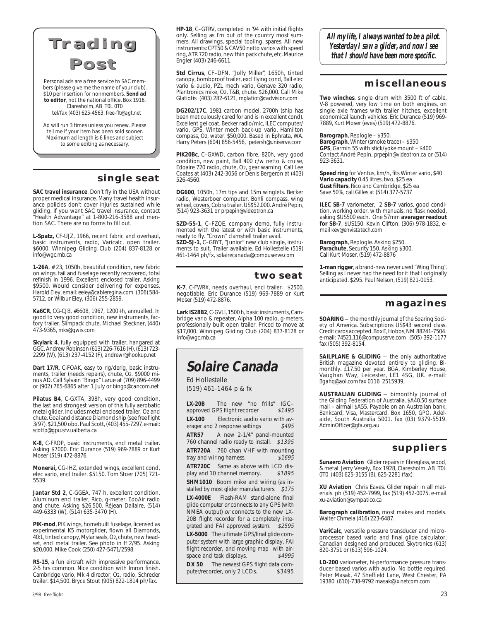## **Trading Trading**



Personal ads are a free service to SAC members (please give me the name of your club). \$10 per insertion for nonmembers. **Send ad to editor**, not the national office, Box 1916, Claresholm, AB T0L 0T0 tel/fax (403) 625-4563, *free-flt@agt.net*

Ad will run 3 times unless you renew. Please tell me if your item has been sold sooner. Maximum ad length is 6 lines and subject to some editing as necessary.

#### **single seat**

**SAC travel insurance**. Don't fly in the USA without proper medical insurance. Many travel health insurance policies don't cover injuries sustained while gliding. If you want SAC travel insurance, contact "Health Advantage" at 1-800-216-3588 and mention SAC. There are no forms to fill out.

**L-Spatz,** CF-UJZ, 1966, recent fabric and overhaul, basic instruments, radio, Varicalc, open trailer. \$6000. Winnipeg Gliding Club (204) 837-8128 or *info@wgc.mb.ca*

**1-26A**, # 23, 1050h, beautiful condition, new fabric on wings, tail and fuselage recently recovered, total refinish in 1996. Excellent enclosed trailer. Asking \$9500. Would consider delivering for expenses. Harold Eley, email: *eeley@cableregina.com* (306) 584- 5712, or Wilbur Eley, (306) 255-2859.

**Ka6CR**, CG-CJB, #6608, 1967, 1200+h, annualled. In good to very good condition, new instruments, factory trailer. Slimpack chute. Michael Steckner, (440) 473-9365, *mks@gwis.com*

**Skylark 4**, fully equipped with trailer, hangared at GGC. Andrew Robinson (613) 226-7616 (H), (613) 723- 2299 (W), (613) 237-4152 (F), *andrewr@hookup.net*

Dart 17/R, C-FOAK, easy to rig/derig, basic instru-<br>ments, trailer (needs repairs), chute, O2. \$9000 minus AD. Call Sylvain "Bingo" Larue at (709) 896-4499 or (902) 765-6865 after 1 July or *bingo@cancom.net*

**Pilatus B4**, C-GXTA, 398h, very good condition, the last and strongest version of this fully aerobatic metal glider. Includes metal enclosed trailer, O2 and chute. Goal and distance Diamond ship (see *free flight* 3/97). \$21,500 obo. Paul Scott, (403) 455-7297, e-mail: *scottp@gpu.srv.ualberta.ca*

**K-8**, C-FROP, basic instruments, encl metal trailer. Asking \$7000. Eric Durance (519) 969-7889 or Kurt Moser (519) 472-8876.

**Monerai,** CG-IHZ, extended wings, excellent cond, elec vario, encl trailer. \$5150. Tom Stoer (705) 721- 5539.

**Jantar Std 2**, C-GGEA, 747 h, excellent condition. Aluminum encl trailer, Rico, g-meter, EdoAir radio and chute. Asking \$26,500. Réjean Dallaire, (514) 449-6333 (W), (514) 635-3470 (H).

**PIK-mod**, PIK wings, homebuilt fuselage, licensed as experimental K5 motorglider, flown all Diamonds, 40:1, tinted canopy, Mylar seals, O2, chute, new head-set, encl metal trailer. See photo in ff 2/95. Asking \$20,000. Mike Cook (250) 427-5471/2598.

**RS-15**, a fun aircraft with impressive performance, 2-5 hrs common. Nice condition with Imron finish. Cambridge vario, Mk 4 director, O2, radio, Schreder trailer. \$14,500. Bryce Stout (905) 822-1814 ph/fax.

**HP-18**, C–GTRV, completed in '94 with initial flights only. Selling as I'm out of the country most summers. All drawings, special tooling, spares. All new instruments: CPT50 & CAV50 netto varios with speed ring, ATR 720 radio, new thin pack chute, etc. Maurice Engler (403) 246-6611.

**Std Cirrus**, CF–DFN, "Jolly Miller", 1650h, tinted canopy, bombproof trailer, excl flying cond, Ball elec vario & audio, PZL mech vario, Genave 320 radio, Plantronics mike, O2, T&B, chute. \$26,000. Call Mike Glatiotis (403) 282-6121, *mglatiot@cadvision.com*

**DG202/17C**, 1981 carbon model, 2700h (ship has been meticulously cared for and is in excellent cond). Excellent gel coat, Becker radio/mic, ILEC computer/ vario, GPS, Winter mech back-up vario, Hamilton compass, O2, water. \$50,000. Based in Ephrata, WA. Harry Peters (604) 856-5456, *petersh@uniserve.com*

**PIK20Bc**, C–GXWD, carbon fibre, 820h, very good condition, new paint, Ball 400 c/w netto & cruise, Edoaire 720 radio, chute, O2, gear warning. Call Lee Coates at (403) 242-3056 or Denis Bergeron at (403) 526-4560.

**DG600**, 1050h, 17m tips and 15m winglets. Becker radio, Westerboer computer, Bohli compass, wing wheel, covers, Cobra trailer. US\$52,000. André Pepin, (514) 923-3631 or *prpepin@videotron.ca*

**SZD-55-1**, C–FZQE, company demo, fully instrumented with the latest or with basic instruments, ready to fly. "Crown" clamshell trailer avail. **SZD-5J-1**, C–GBYT, "Junior" new club single, instruments to suit. Trailer available. Ed Hollestelle (519) 461-1464 ph/fx, *solairecanada@compuserve.com*

#### **two seat**

**K-7**, C-FWRX, needs overhaul, encl trailer. \$2500, negotiable. Eric Durance (519) 969-7889 or Kurt Moser (519) 472-8876.

**Lark IS28B2**, C-GVLI, 1500 h, basic instruments, Cambridge vario & repeater, Alpha 100 radio, g-meters, professionally built open trailer. Priced to move at \$17,000. Winnipeg Gliding Club (204) 837-8128 or *info@wgc.mb.ca*

## **Solaire Canada**

Ed Hollestelle (519) 461-1464 p & fx

**LX-20B** The new "no frills" IGC-<br>approved GPS flight recorder \$1495 approved GPS flight recorder **LX-100** Electronic audio vario with aversage and 2 response settings \$495 erager and 2 response settings **ATR57** A new 2-1/4" panel-mounted 760 channel radio ready to install. \$1395 **ATR720A** 760 chan VHF with mounting tray and wiring harness. \$1695 **ATR720C** Same as above with LCD dis-<br>play and 10 channel memory \$1895 play and 10 channel memory. **SHM1010** Boom mike and wiring (as installed by most glider manufacturers. \$175 **LX-4000E** Flash-RAM stand-alone final glide computer or connects to any GPS (with NMEA output) or connects to the new LX-20B flight recorder for a completely integrated and FAI approved system. \$2595 **LX-5000** The ultimate GPS/final glide computer system with large graphic display, FAI flight recorder, and moving map with air-<br>space and task displays \$4995 space and task displays. DX 50 The newest GPS flight data computer/recorder, only 2 LCDs. \$3495

*All my life, I always wanted to be a pilot. Yesterday I saw a glider, and now I see that I should have been more specific.*

#### **miscellaneous**

**Two winches**, single drum with 3500 ft of cable, V-8 powered, very low time on both engines, on single axle frames with trailer hitches, excellent economical launch vehicles. Eric Durance (519) 969- 7889, Kurt Moser (eves) (519) 472-8876.

#### **Barograph**, Replogle – \$350.

**Barograph**, Winter (smoke trace) – \$350 **GPS**, Garmin 55 with stick/yoke mount – \$400 Contact André Pepin, *prpepin@videotron.ca* or (514) 923-3631.

**Speed ring** for Ventus, km/h, fits Winter vario, \$40 **Vario capacity** 0.45 litres, two, \$25 ea **Gust filters**, Rico and Cambridge, \$25 ea Save 50%, call Gilles at (514) 377-5737

**ILEC SB-7** variometer, 2 **SB-7** varios, good condition, working order, with manuals, no flask needed, asking \$US500 each. One 57mm **averager readout for SB-7**, \$US150. Kevin Clifton, (306) 978-1832, email *kev@envistatech.com*

**Barograph**, Replogle. Asking \$250. **Parachute**, Security 150. Asking \$300. Call Kurt Moser, (519) 472-8876

**1-man rigger**, a brand-new never used "Wing Thing". Selling as I never had the need for it that I originally anticipated. \$295. Paul Nelson, (519) 821-0153.

#### **magazines**

**SOARING** — the monthly journal of the Soaring Society of America. Subscriptions US\$43 second class. Credit cards accepted. Box E, Hobbs, NM 88241-7504. e-mail: *74521.116@compuserve.com* (505) 392-1177 fax (505) 392-8154.

**SAILPLANE & GLIDING** — the only authoritative British magazine devoted entirely to gliding. Bimonthly. £17.50 per year. BGA, Kimberley House, Vaughan Way, Leicester, LE1 4SG, UK. e-mail: *Bgahq@aol.com* fax 0116 2515939,

**AUSTRALIAN GLIDING** — bimonthly journal of the Gliding Federation of Australia. \$A40.50 surface mail – airmail \$A55. Payable on an Australian bank, Bankcard, Visa, Mastercard. Box 1650, GPO, Adelaide, South Australia 5001. fax (03) 9379-5519. *AdminOfficer@gfa.org.au*

#### **suppliers**

**Sunaero Aviation** Glider repairs in fibreglass, wood, & metal. Jerry Vesely, Box 1928, Claresholm, AB T0L 0T0 (403) 625-3155 (B), 625-2281 (fax).

**XU Aviation** Chris Eaves. Glider repair in all materials. ph (519) 452-7999, fax (519) 452-0075, e-mail *xu-aviation@sympatico.ca*

**Barograph calibration**, most makes and models. Walter Chmela (416) 223-6487.

**VariCalc**, versatile pressure transducer and microprocessor based vario and final glide calculator, Canadian designed and produced. Skytronics (613) 820-3751 or (613) 596-1024.

**LD-200** variometer, hi-performance pressure transducer based varios with audio. No bottle required. Peter Masak, 47 Sheffield Lane, West Chester, PA 19380 (610)-738-9792 *masak@ix.netcom.com*